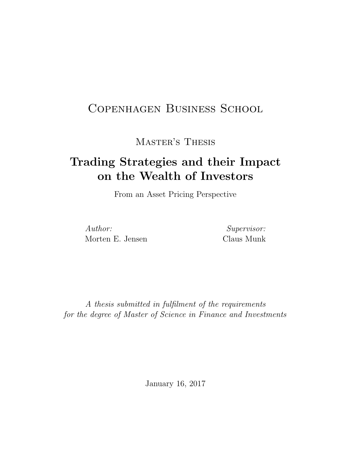# Copenhagen Business School

Master's Thesis

# Trading Strategies and their Impact on the Wealth of Investors

From an Asset Pricing Perspective

Author: Morten E. Jensen

Supervisor: Claus Munk

A thesis submitted in fulfilment of the requirements for the degree of Master of Science in Finance and Investments

January 16, 2017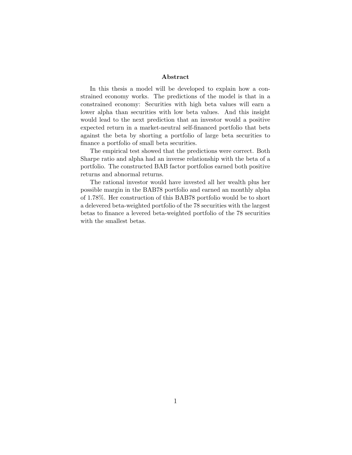#### Abstract

In this thesis a model will be developed to explain how a constrained economy works. The predictions of the model is that in a constrained economy: Securities with high beta values will earn a lower alpha than securities with low beta values. And this insight would lead to the next prediction that an investor would a positive expected return in a market-neutral self-financed portfolio that bets against the beta by shorting a portfolio of large beta securities to finance a portfolio of small beta securities.

The empirical test showed that the predictions were correct. Both Sharpe ratio and alpha had an inverse relationship with the beta of a portfolio. The constructed BAB factor portfolios earned both positive returns and abnormal returns.

The rational investor would have invested all her wealth plus her possible margin in the BAB78 portfolio and earned an monthly alpha of 1.78%. Her construction of this BAB78 portfolio would be to short a delevered beta-weighted portfolio of the 78 securities with the largest betas to finance a levered beta-weighted portfolio of the 78 securities with the smallest betas.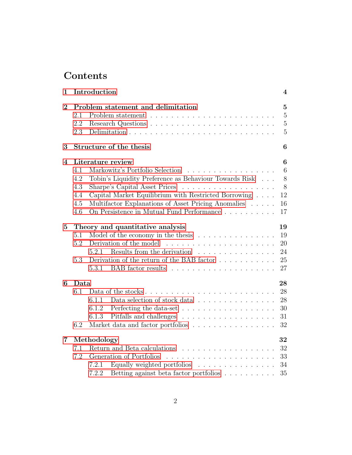# Contents

| 1              | Introduction                                                                                                                                                                                                                                                                                                         | 4                                                                    |
|----------------|----------------------------------------------------------------------------------------------------------------------------------------------------------------------------------------------------------------------------------------------------------------------------------------------------------------------|----------------------------------------------------------------------|
| $\overline{2}$ | Problem statement and delimitation<br>2.1<br>2.2<br>2.3                                                                                                                                                                                                                                                              | $\overline{5}$<br>$\overline{5}$<br>$\overline{5}$<br>$\overline{5}$ |
| 3              | Structure of the thesis                                                                                                                                                                                                                                                                                              | 6                                                                    |
| 4              | Literature review<br>Markowitz's Portfolio Selection<br>4.1<br>Tobin's Liquidity Preference as Behaviour Towards Risk<br>4.2<br>4.3<br>Capital Market Equilibrium with Restricted Borrowing<br>4.4<br>Multifactor Explanations of Asset Pricing Anomalies<br>4.5<br>On Persistence in Mutual Fund Performance<br>4.6 | $\boldsymbol{6}$<br>$6\phantom{.}6$<br>8<br>8<br>12<br>16<br>17      |
| $\overline{5}$ | Theory and quantitative analysis<br>Model of the economy in the thesis $\ldots \ldots \ldots \ldots \ldots$<br>5.1<br>5.2<br>Results from the derivation<br>5.2.1<br>.<br>Derivation of the return of the BAB factor $\dots \dots \dots$<br>5.3<br>5.3.1                                                             | 19<br>19<br>20<br>24<br>25<br>27                                     |
| 6              | Data<br>6.1<br>Data selection of stock data $\ldots \ldots \ldots \ldots \ldots$<br>6.1.1<br>Perfecting the data-set $\dots \dots \dots \dots \dots \dots \dots$<br>6.1.2<br>6.1.3<br>6.2<br>Market data and factor portfolios                                                                                       | 28<br>28<br>28<br>30<br>31<br>32                                     |
| $\overline{7}$ | Methodology<br>7.1<br>7.2<br>Generation of Portfolios<br>Equally weighted portfolios<br>7.2.1<br>Betting against beta factor portfolios<br>7.2.2                                                                                                                                                                     | 32<br>32<br>33<br>34<br>35                                           |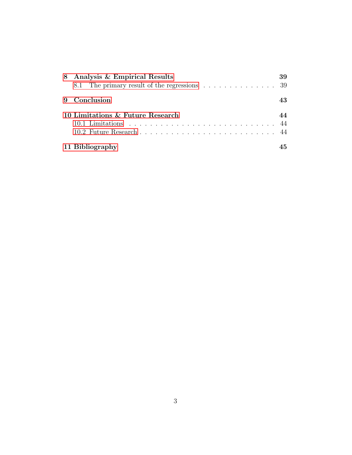| 8 Analysis & Empirical Results                                                    | 39 |
|-----------------------------------------------------------------------------------|----|
| 8.1 The primary result of the regressions $\ldots \ldots \ldots \ldots \ldots$ 39 |    |
| 9 Conclusion                                                                      | 43 |
| 10 Limitations & Future Research                                                  | 44 |
|                                                                                   |    |
|                                                                                   |    |
| 11 Bibliography                                                                   | 45 |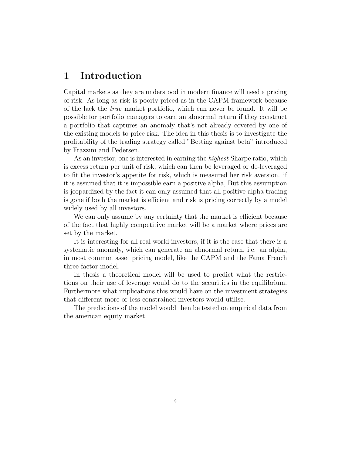# <span id="page-4-0"></span>1 Introduction

Capital markets as they are understood in modern finance will need a pricing of risk. As long as risk is poorly priced as in the CAPM framework because of the lack the true market portfolio, which can never be found. It will be possible for portfolio managers to earn an abnormal return if they construct a portfolio that captures an anomaly that's not already covered by one of the existing models to price risk. The idea in this thesis is to investigate the profitability of the trading strategy called "Betting against beta" introduced by Frazzini and Pedersen.

As an investor, one is interested in earning the highest Sharpe ratio, which is excess return per unit of risk, which can then be leveraged or de-leveraged to fit the investor's appetite for risk, which is measured her risk aversion. if it is assumed that it is impossible earn a positive alpha, But this assumption is jeopardized by the fact it can only assumed that all positive alpha trading is gone if both the market is efficient and risk is pricing correctly by a model widely used by all investors.

We can only assume by any certainty that the market is efficient because of the fact that highly competitive market will be a market where prices are set by the market.

It is interesting for all real world investors, if it is the case that there is a systematic anomaly, which can generate an abnormal return, i.e. an alpha, in most common asset pricing model, like the CAPM and the Fama French three factor model.

In thesis a theoretical model will be used to predict what the restrictions on their use of leverage would do to the securities in the equilibrium. Furthermore what implications this would have on the investment strategies that different more or less constrained investors would utilise.

The predictions of the model would then be tested on empirical data from the american equity market.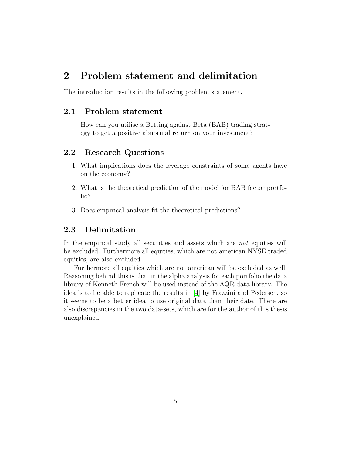# <span id="page-5-0"></span>2 Problem statement and delimitation

The introduction results in the following problem statement.

### <span id="page-5-1"></span>2.1 Problem statement

How can you utilise a Betting against Beta (BAB) trading strategy to get a positive abnormal return on your investment?

### <span id="page-5-2"></span>2.2 Research Questions

- 1. What implications does the leverage constraints of some agents have on the economy?
- 2. What is the theoretical prediction of the model for BAB factor portfolio?
- 3. Does empirical analysis fit the theoretical predictions?

### <span id="page-5-3"></span>2.3 Delimitation

In the empirical study all securities and assets which are *not* equities will be excluded. Furthermore all equities, which are not american NYSE traded equities, are also excluded.

Furthermore all equities which are not american will be excluded as well. Reasoning behind this is that in the alpha analysis for each portfolio the data library of Kenneth French will be used instead of the AQR data library. The idea is to be able to replicate the results in [\[4\]](#page-45-1) by Frazzini and Pedersen, so it seems to be a better idea to use original data than their date. There are also discrepancies in the two data-sets, which are for the author of this thesis unexplained.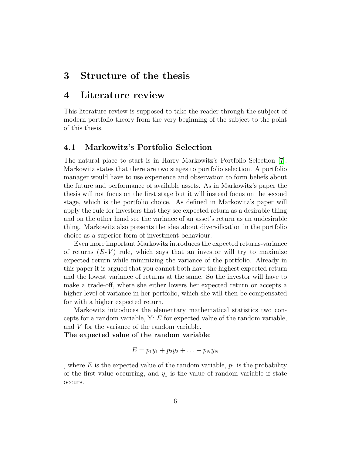# <span id="page-6-0"></span>3 Structure of the thesis

# <span id="page-6-1"></span>4 Literature review

This literature review is supposed to take the reader through the subject of modern portfolio theory from the very beginning of the subject to the point of this thesis.

### <span id="page-6-2"></span>4.1 Markowitz's Portfolio Selection

The natural place to start is in Harry Markowitz's Portfolio Selection [\[7\]](#page-45-2). Markowitz states that there are two stages to portfolio selection. A portfolio manager would have to use experience and observation to form beliefs about the future and performance of available assets. As in Markowitz's paper the thesis will not focus on the first stage but it will instead focus on the second stage, which is the portfolio choice. As defined in Markowitz's paper will apply the rule for investors that they see expected return as a desirable thing and on the other hand see the variance of an asset's return as an undesirable thing. Markowitz also presents the idea about diversification in the portfolio choice as a superior form of investment behaviour.

Even more important Markowitz introduces the expected returns-variance of returns  $(E-V)$  rule, which says that an investor will try to maximize expected return while minimizing the variance of the portfolio. Already in this paper it is argued that you cannot both have the highest expected return and the lowest variance of returns at the same. So the investor will have to make a trade-off, where she either lowers her expected return or accepts a higher level of variance in her portfolio, which she will then be compensated for with a higher expected return.

Markowitz introduces the elementary mathematical statistics two concepts for a random variable,  $Y: E$  for expected value of the random variable, and V for the variance of the random variable.

The expected value of the random variable:

$$
E=p_1y_1+p_2y_2+\ldots+p_Ny_N
$$

, where E is the expected value of the random variable,  $p_1$  is the probability of the first value occurring, and  $y_1$  is the value of random variable if state occurs.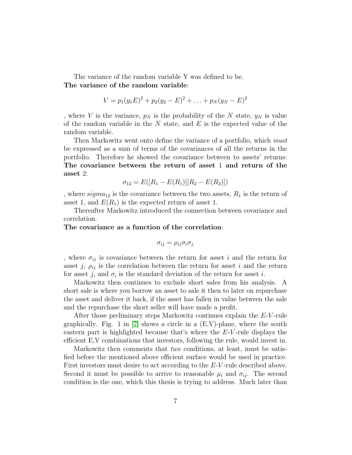The variance of the random variable Y was defined to be. The variance of the random variable:

$$
V = p_1(y_1E)^2 + p_2(y_2 - E)^2 + \ldots + p_N(y_N - E)^2
$$

, where V is the variance,  $p_N$  is the probability of the N state,  $y_N$  is value of the random variable in the  $N$  state, and  $E$  is the expected value of the random variable.

Then Markowitz went onto define the variance of a portfolio, which *must* be expressed as a sum of terms of the covariances of all the returns in the portfolio. Therefore he showed the covariance between to assets' returns: The covariance between the return of asset 1 and return of the asset 2:

$$
\sigma_{12} = E([R_1 - E(R_1)][R_2 - E(R_2)])
$$

, where  $sigma_{12}$  is the covariance between the two assets,  $R_1$  is the return of asset 1, and  $E(R_1)$  is the expected return of asset 1.

Thereafter Markowitz introduced the connection between covariance and correlation.

### The covariance as a function of the correlation:

$$
\sigma_{ij} = \rho_{ij}\sigma_i\sigma_j
$$

, where  $\sigma_{ij}$  is covariance between the return for asset i and the return for asset j,  $\rho_{ij}$  is the correlation between the return for asset i and the return for asset  $j$ , and  $\sigma_i$  is the standard deviation of the return for asset i.

Markowitz then continues to exclude short sales from his analysis. A short sale is where you borrow an asset to sale it then to later on repurchase the asset and deliver it back, if the asset has fallen in value between the sale and the repurchase the short seller will have made a profit.

After those preliminary steps Markowitz continues explain the E-V -rule graphically. Fig. 1 in  $[7]$  shows a circle in a  $(E, V)$ -plane, where the south eastern part is highlighted because that's where the  $E-V$ -rule displays the efficient E,V combinations that investors, following the rule, would invest in.

Markowitz then comments that two conditions, at least, must be satisfied before the mentioned above efficient surface would be used in practice. First investors must desire to act according to the E-V-rule described above. Second it must be possible to arrive to reasonable  $\mu_i$  and  $\sigma_{ij}$ . The second condition is the one, which this thesis is trying to address. Much later than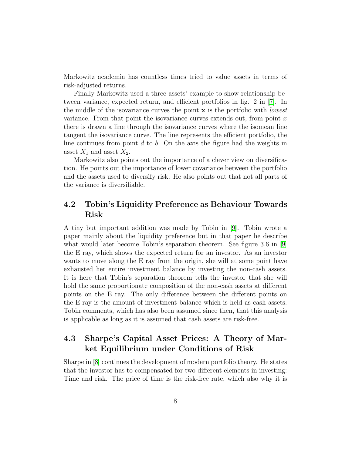Markowitz academia has countless times tried to value assets in terms of risk-adjusted returns.

Finally Markowitz used a three assets' example to show relationship between variance, expected return, and efficient portfolios in fig. 2 in [\[7\]](#page-45-2). In the middle of the isovariance curves the point  $x$  is the portfolio with *lowest* variance. From that point the isovariance curves extends out, from point  $x$ there is drawn a line through the isovariance curves where the isomean line tangent the isovariance curve. The line represents the efficient portfolio, the line continues from point  $d$  to  $b$ . On the axis the figure had the weights in asset  $X_1$  and asset  $X_2$ .

Markowitz also points out the importance of a clever view on diversification. He points out the importance of lower covariance between the portfolio and the assets used to diversify risk. He also points out that not all parts of the variance is diversifiable.

### <span id="page-8-0"></span>4.2 Tobin's Liquidity Preference as Behaviour Towards Risk

A tiny but important addition was made by Tobin in [\[9\]](#page-45-3). Tobin wrote a paper mainly about the liquidity preference but in that paper he describe what would later become Tobin's separation theorem. See figure 3.6 in [\[9\]](#page-45-3) the E ray, which shows the expected return for an investor. As an investor wants to move along the E ray from the origin, she will at some point have exhausted her entire investment balance by investing the non-cash assets. It is here that Tobin's separation theorem tells the investor that she will hold the same proportionate composition of the non-cash assets at different points on the E ray. The only difference between the different points on the E ray is the amount of investment balance which is held as cash assets. Tobin comments, which has also been assumed since then, that this analysis is applicable as long as it is assumed that cash assets are risk-free.

### <span id="page-8-1"></span>4.3 Sharpe's Capital Asset Prices: A Theory of Market Equilibrium under Conditions of Risk

Sharpe in [\[8\]](#page-45-4) continues the development of modern portfolio theory. He states that the investor has to compensated for two different elements in investing: Time and risk. The price of time is the risk-free rate, which also why it is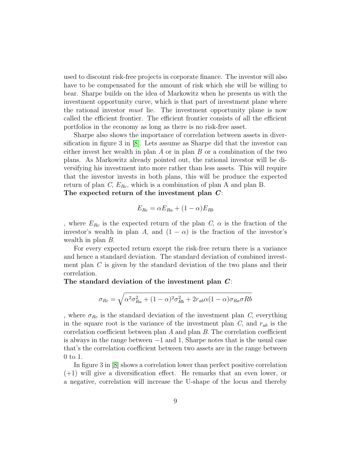used to discount risk-free projects in corporate finance. The investor will also have to be compensated for the amount of risk which she will be willing to bear. Sharpe builds on the idea of Markowitz when he presents us with the investment opportunity curve, which is that part of investment plane where the rational investor must lie. The investment opportunity plane is now called the efficient frontier. The efficient frontier consists of all the efficient portfolios in the economy as long as there is no risk-free asset.

Sharpe also shows the importance of correlation between assets in diversification in figure 3 in [\[8\]](#page-45-4). Lets assume as Sharpe did that the investor can either invest her wealth in plan  $A$  or in plan  $B$  or a combination of the two plans. As Markowitz already pointed out, the rational investor will be diversifying his investment into more rather than less assets. This will require that the investor invests in both plans, this will be produce the expected return of plan  $C$ ,  $E_{Rc}$ , which is a combination of plan A and plan B. The expected return of the investment plan  $C$ :

$$
E_{Rc} = \alpha E_{Ra} + (1 - \alpha)E_{Rb}
$$

, where  $E_{Rc}$  is the expected return of the plan  $C$ ,  $\alpha$  is the fraction of the investor's wealth in plan A, and  $(1 - \alpha)$  is the fraction of the investor's wealth in plan B.

For every expected return except the risk-free return there is a variance and hence a standard deviation. The standard deviation of combined investment plan  $C$  is given by the standard deviation of the two plans and their correlation.

The standard deviation of the investment plan  $C$ :

$$
\sigma_{Rc} = \sqrt{\alpha^2 \sigma_{Ra}^2 + (1 - \alpha)^2 \sigma_{Rb}^2 + 2r_{ab}\alpha(1 - \alpha)\sigma_{Ra}\sigma Rb}
$$

, where  $\sigma_{Rc}$  is the standard deviation of the investment plan C, everything in the square root is the variance of the investment plan  $C$ , and  $r_{ab}$  is the correlation coefficient between plan A and plan B. The correlation coefficient is always in the range between −1 and 1, Sharpe notes that is the usual case that's the correlation coefficient between two assets are in the range between 0 to 1.

In figure 3 in [\[8\]](#page-45-4) shows a correlation lower than perfect positive correlation  $(+1)$  will give a diversification effect. He remarks that an even lower, or a negative, correlation will increase the U-shape of the locus and thereby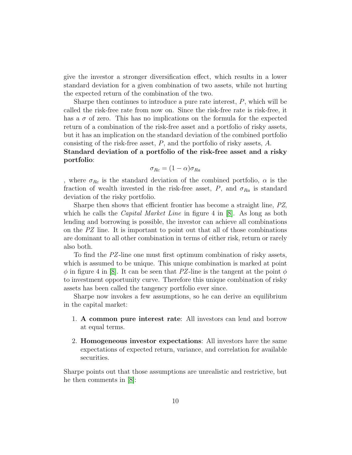give the investor a stronger diversification effect, which results in a lower standard deviation for a given combination of two assets, while not hurting the expected return of the combination of the two.

Sharpe then continues to introduce a pure rate interest,  $P$ , which will be called the risk-free rate from now on. Since the risk-free rate is risk-free, it has a  $\sigma$  of zero. This has no implications on the formula for the expected return of a combination of the risk-free asset and a portfolio of risky assets, but it has an implication on the standard deviation of the combined portfolio consisting of the risk-free asset,  $P$ , and the portfolio of risky assets,  $A$ .

Standard deviation of a portfolio of the risk-free asset and a risky portfolio:

$$
\sigma_{Rc} = (1 - \alpha)\sigma_{Ra}
$$

, where  $\sigma_{Rc}$  is the standard deviation of the combined portfolio,  $\alpha$  is the fraction of wealth invested in the risk-free asset, P, and  $\sigma_{Ra}$  is standard deviation of the risky portfolio.

Sharpe then shows that efficient frontier has become a straight line, PZ, which he calls the *Capital Market Line* in figure 4 in  $[8]$ . As long as both lending and borrowing is possible, the investor can achieve all combinations on the  $PZ$  line. It is important to point out that all of those combinations are dominant to all other combination in terms of either risk, return or rarely also both.

To find the PZ-line one must first optimum combination of risky assets, which is assumed to be unique. This unique combination is marked at point  $\phi$  in figure 4 in [\[8\]](#page-45-4). It can be seen that PZ-line is the tangent at the point  $\phi$ to investment opportunity curve. Therefore this unique combination of risky assets has been called the tangency portfolio ever since.

Sharpe now invokes a few assumptions, so he can derive an equilibrium in the capital market:

- 1. A common pure interest rate: All investors can lend and borrow at equal terms.
- 2. Homogeneous investor expectations: All investors have the same expectations of expected return, variance, and correlation for available securities.

Sharpe points out that those assumptions are unrealistic and restrictive, but he then comments in [\[8\]](#page-45-4):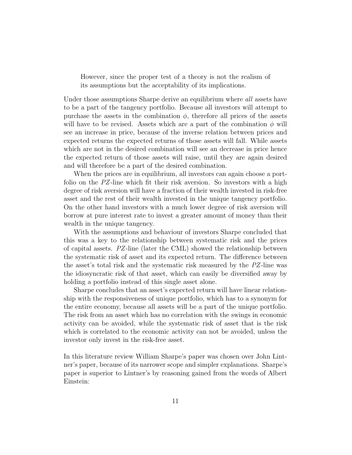However, since the proper test of a theory is not the realism of its assumptions but the acceptability of its implications.

Under those assumptions Sharpe derive an equilibrium where *all* assets have to be a part of the tangency portfolio. Because all investors will attempt to purchase the assets in the combination  $\phi$ , therefore all prices of the assets will have to be revised. Assets which are a part of the combination  $\phi$  will see an increase in price, because of the inverse relation between prices and expected returns the expected returns of those assets will fall. While assets which are not in the desired combination will see an decrease in price hence the expected return of those assets will raise, until they are again desired and will therefore be a part of the desired combination.

When the prices are in equilibrium, all investors can again choose a portfolio on the PZ-line which fit their risk aversion. So investors with a high degree of risk aversion will have a fraction of their wealth invested in risk-free asset and the rest of their wealth invested in the unique tangency portfolio. On the other hand investors with a much lower degree of risk aversion will borrow at pure interest rate to invest a greater amount of money than their wealth in the unique tangency.

With the assumptions and behaviour of investors Sharpe concluded that this was a key to the relationship between systematic risk and the prices of capital assets. PZ-line (later the CML) showed the relationship between the systematic risk of asset and its expected return. The difference between the asset's total risk and the systematic risk measured by the PZ-line was the idiosyncratic risk of that asset, which can easily be diversified away by holding a portfolio instead of this single asset alone.

Sharpe concludes that an asset's expected return will have linear relationship with the responsiveness of unique portfolio, which has to a synonym for the entire economy, because all assets will be a part of the unique portfolio. The risk from an asset which has no correlation with the swings in economic activity can be avoided, while the systematic risk of asset that is the risk which is correlated to the economic activity can not be avoided, unless the investor only invest in the risk-free asset.

In this literature review William Sharpe's paper was chosen over John Lintner's paper, because of its narrower scope and simpler explanations. Sharpe's paper is superior to Lintner's by reasoning gained from the words of Albert Einstein: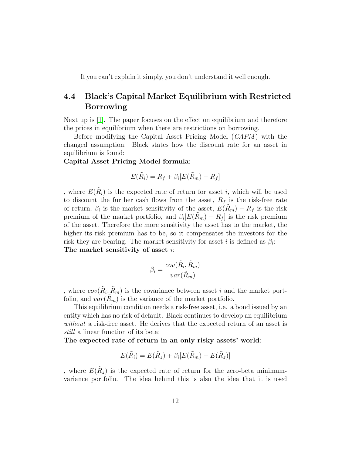If you can't explain it simply, you don't understand it well enough.

### <span id="page-12-0"></span>4.4 Black's Capital Market Equilibrium with Restricted Borrowing

Next up is [\[1\]](#page-45-5). The paper focuses on the effect on equilibrium and therefore the prices in equilibrium when there are restrictions on borrowing.

Before modifying the Capital Asset Pricing Model (*CAPM*) with the changed assumption. Black states how the discount rate for an asset in equilibrium is found:

### Capital Asset Pricing Model formula:

$$
E(\tilde{R}_i) = R_f + \beta_i [E(\tilde{R}_m) - R_f]
$$

, where  $E(\tilde{R}_i)$  is the expected rate of return for asset *i*, which will be used to discount the further cash flows from the asset,  $R_f$  is the risk-free rate of return,  $\beta_i$  is the market sensitivity of the asset,  $E(\tilde{R}_m) - R_f$  is the risk premium of the market portfolio, and  $\beta_i[E(\tilde{R}_m) - R_f]$  is the risk premium of the asset. Therefore the more sensitivity the asset has to the market, the higher its risk premium has to be, so it compensates the investors for the risk they are bearing. The market sensitivity for asset i is defined as  $\beta_i$ : The market sensitivity of asset *i*:

$$
\beta_i = \frac{cov(\tilde{R}_i, \tilde{R}_m)}{var(\tilde{R}_m)}
$$

, where  $cov(\tilde{R}_i, \tilde{R}_m)$  is the covariance between asset i and the market portfolio, and  $var(R_m)$  is the variance of the market portfolio.

This equilibrium condition needs a risk-free asset, i.e. a bond issued by an entity which has no risk of default. Black continues to develop an equilibrium without a risk-free asset. He derives that the expected return of an asset is still a linear function of its beta:

The expected rate of return in an only risky assets' world:

$$
E(\tilde{R}_i) = E(\tilde{R}_z) + \beta_i [E(\tilde{R}_m) - E(\tilde{R}_z)]
$$

, where  $E(\tilde{R}_z)$  is the expected rate of return for the zero-beta minimumvariance portfolio. The idea behind this is also the idea that it is used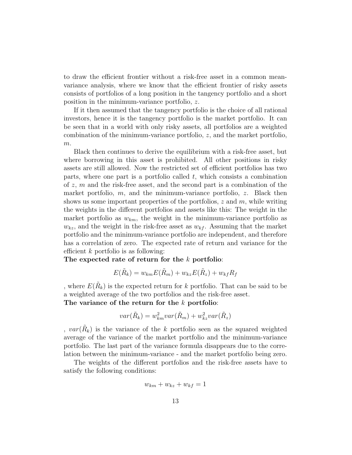to draw the efficient frontier without a risk-free asset in a common meanvariance analysis, where we know that the efficient frontier of risky assets consists of portfolios of a long position in the tangency portfolio and a short position in the minimum-variance portfolio, z.

If it then assumed that the tangency portfolio is the choice of all rational investors, hence it is the tangency portfolio is the market portfolio. It can be seen that in a world with only risky assets, all portfolios are a weighted combination of the minimum-variance portfolio, z, and the market portfolio,  $m$ .

Black then continues to derive the equilibrium with a risk-free asset, but where borrowing in this asset is prohibited. All other positions in risky assets are still allowed. Now the restricted set of efficient portfolios has two parts, where one part is a portfolio called  $t$ , which consists a combination of  $z, m$  and the risk-free asset, and the second part is a combination of the market portfolio,  $m$ , and the minimum-variance portfolio,  $z$ . Black then shows us some important properties of the portfolios,  $z$  and  $m$ , while writing the weights in the different portfolios and assets like this: The weight in the market portfolio as  $w_{km}$ , the weight in the minimum-variance portfolio as  $w_{kz}$ , and the weight in the risk-free asset as  $w_{kf}$ . Assuming that the market portfolio and the minimum-variance portfolio are independent, and therefore has a correlation of zero. The expected rate of return and variance for the efficient  $k$  portfolio is as following:

The expected rate of return for the k portfolio:

$$
E(\tilde{R}_k) = w_{km} E(\tilde{R}_m) + w_{kz} E(\tilde{R}_z) + w_{kf} R_f
$$

, where  $E(\tilde{R}_k)$  is the expected return for k portfolio. That can be said to be a weighted average of the two portfolios and the risk-free asset.

The variance of the return for the k portfolio:

$$
var(\tilde{R}_k) = w_{km}^2 var(\tilde{R}_m) + w_{kz}^2 var(\tilde{R}_z)
$$

,  $var(\tilde{R}_k)$  is the variance of the k portfolio seen as the squared weighted average of the variance of the market portfolio and the minimum-variance portfolio. The last part of the variance formula disappears due to the correlation between the minimum-variance - and the market portfolio being zero.

The weights of the different portfolios and the risk-free assets have to satisfy the following conditions:

$$
w_{km} + w_{kz} + w_{kf} = 1
$$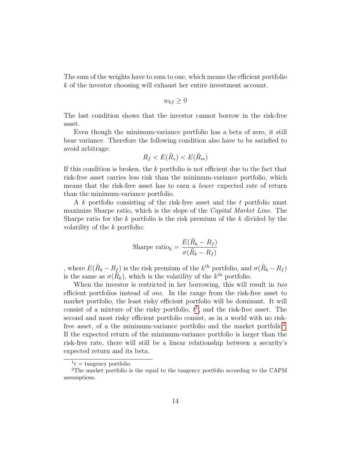The sum of the weights have to sum to one, which means the efficient portfolio k of the investor choosing will exhaust her entire investment account.

$$
w_{kf} \geq 0
$$

The last condition shows that the investor cannot borrow in the risk-free asset.

Even though the minimum-variance portfolio has a beta of zero, it still bear variance. Therefore the following condition also have to be satisfied to avoid arbitrage:

$$
R_f < E(\tilde{R}_z) < E(\tilde{R}_m)
$$

If this condition is broken, the k portfolio is not efficient due to the fact that risk-free asset carries less risk than the minimum-variance portfolio, which means that the risk-free asset has to earn a lower expected rate of return than the minimum-variance portfolio.

A k portfolio consisting of the risk-free asset and the t portfolio must maximize Sharpe ratio, which is the slope of the Capital Market Line. The Sharpe ratio for the  $k$  portfolio is the risk premium of the  $k$  divided by the volatility of the k portfolio:

$$
\text{Sharpe ratio}_k = \frac{E(\tilde{R}_k - R_f)}{\sigma(\tilde{R}_k - R_f)}
$$

, where  $E(\tilde{R}_k - R_f)$  is the risk premium of the  $k^{\text{th}}$  portfolio, and  $\sigma(\tilde{R}_k - R_f)$ is the same as  $\sigma(\tilde{R}_k)$ , which is the volatility of the  $k^{\text{th}}$  portfolio.

When the investor is restricted in her borrowing, this will result in two efficient portfolios instead of one. In the range from the risk-free asset to market portfolio, the least risky efficient portfolio will be dominant. It will consist of a mixture of the risky portfolio,  $t<sup>1</sup>$  $t<sup>1</sup>$  $t<sup>1</sup>$ , and the risk-free asset. The second and most risky efficient portfolio consist, as in a world with no risk-free asset, of a the minimum-variance portfolio and the market portfolio<sup>[2](#page-14-1)</sup>. If the expected return of the minimum-variance portfolio is larger than the risk-free rate, there will still be a linear relationship between a security's expected return and its beta.

<span id="page-14-1"></span><span id="page-14-0"></span> $1<sup>t</sup> = \text{tangency portfolio}$ 

<sup>2</sup>The market portfolio is the equal to the tangency portfolio according to the CAPM assumptions.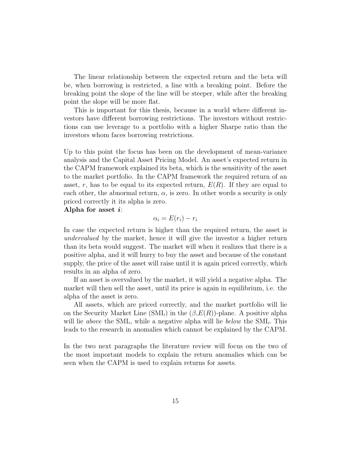The linear relationship between the expected return and the beta will be, when borrowing is restricted, a line with a breaking point. Before the breaking point the slope of the line will be steeper, while after the breaking point the slope will be more flat.

This is important for this thesis, because in a world where different investors have different borrowing restrictions. The investors without restrictions can use leverage to a portfolio with a higher Sharpe ratio than the investors whom faces borrowing restrictions.

Up to this point the focus has been on the development of mean-variance analysis and the Capital Asset Pricing Model. An asset's expected return in the CAPM framework explained its beta, which is the sensitivity of the asset to the market portfolio. In the CAPM framework the required return of an asset, r, has to be equal to its expected return,  $E(R)$ . If they are equal to each other, the abnormal return,  $\alpha$ , is zero. In other words a security is only priced correctly it its alpha is zero.

Alpha for asset  $i$ :

$$
\alpha_i = E(r_i) - r_i
$$

In case the expected return is higher than the required return, the asset is undervalued by the market, hence it will give the investor a higher return than its beta would suggest. The market will when it realizes that there is a positive alpha, and it will hurry to buy the asset and because of the constant supply, the price of the asset will raise until it is again priced correctly, which results in an alpha of zero.

If an asset is overvalued by the market, it will yield a negative alpha. The market will then sell the asset, until its price is again in equilibrium, i.e. the alpha of the asset is zero.

All assets, which are priced correctly, and the market portfolio will lie on the Security Market Line (SML) in the  $(\beta, E(R))$ -plane. A positive alpha will lie *above* the SML, while a negative alpha will lie *below* the SML. This leads to the research in anomalies which cannot be explained by the CAPM.

In the two next paragraphs the literature review will focus on the two of the most important models to explain the return anomalies which can be seen when the CAPM is used to explain returns for assets.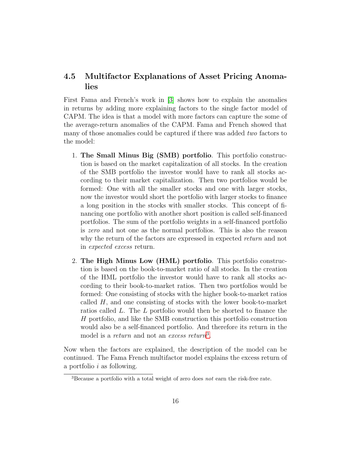### <span id="page-16-0"></span>4.5 Multifactor Explanations of Asset Pricing Anomalies

First Fama and French's work in [\[3\]](#page-45-6) shows how to explain the anomalies in returns by adding more explaining factors to the single factor model of CAPM. The idea is that a model with more factors can capture the some of the average-return anomalies of the CAPM. Fama and French showed that many of those anomalies could be captured if there was added *two* factors to the model:

- 1. The Small Minus Big (SMB) portfolio. This portfolio construction is based on the market capitalization of all stocks. In the creation of the SMB portfolio the investor would have to rank all stocks according to their market capitalization. Then two portfolios would be formed: One with all the smaller stocks and one with larger stocks, now the investor would short the portfolio with larger stocks to finance a long position in the stocks with smaller stocks. This concept of financing one portfolio with another short position is called self-financed portfolios. The sum of the portfolio weights in a self-financed portfolio is zero and not one as the normal portfolios. This is also the reason why the return of the factors are expressed in expected return and not in expected excess return.
- 2. The High Minus Low (HML) portfolio. This portfolio construction is based on the book-to-market ratio of all stocks. In the creation of the HML portfolio the investor would have to rank all stocks according to their book-to-market ratios. Then two portfolios would be formed: One consisting of stocks with the higher book-to-market ratios called  $H$ , and one consisting of stocks with the lower book-to-market ratios called L. The L portfolio would then be shorted to finance the H portfolio, and like the SMB construction this portfolio construction would also be a self-financed portfolio. And therefore its return in the model is a *return* and not an *excess return*<sup>[3](#page-16-1)</sup>.

Now when the factors are explained, the description of the model can be continued. The Fama French multifactor model explains the excess return of a portfolio  $i$  as following.

<span id="page-16-1"></span> ${}^{3}$ Because a portfolio with a total weight of zero does not earn the risk-free rate.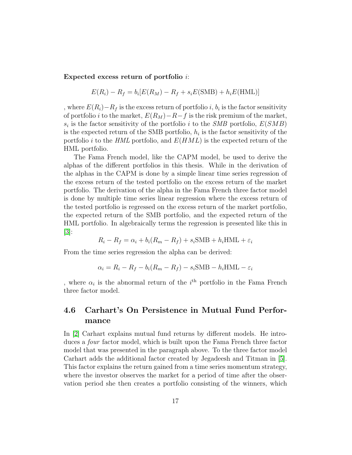Expected excess return of portfolio i:

$$
E(R_i) - R_f = b_i[E(R_M) - R_f + s_i E(SMB) + h_i E(HML)]
$$

, where  $E(R_i) - R_f$  is the excess return of portfolio i,  $b_i$  is the factor sensitivity of portfolio *i* to the market,  $E(R_M) - R - f$  is the risk premium of the market,  $s_i$  is the factor sensitivity of the portfolio i to the SMB portfolio,  $E(SMB)$ is the expected return of the SMB portfolio,  $h_i$  is the factor sensitivity of the portfolio i to the HML portfolio, and  $E(HML)$  is the expected return of the HML portfolio.

The Fama French model, like the CAPM model, be used to derive the alphas of the different portfolios in this thesis. While in the derivation of the alphas in the CAPM is done by a simple linear time series regression of the excess return of the tested portfolio on the excess return of the market portfolio. The derivation of the alpha in the Fama French three factor model is done by multiple time series linear regression where the excess return of the tested portfolio is regressed on the excess return of the market portfolio, the expected return of the SMB portfolio, and the expected return of the HML portfolio. In algebraically terms the regression is presented like this in  $|3|$ :

$$
R_i - R_f = \alpha_i + b_i(R_m - R_f) + s_i \text{SMB} + h_i \text{HML} + \varepsilon_i
$$

From the time series regression the alpha can be derived:

$$
\alpha_i = R_i - R_f - b_i(R_m - R_f) - s_i\text{SMB} - h_i\text{HML} - \varepsilon_i
$$

, where  $\alpha_i$  is the abnormal return of the  $i^{\text{th}}$  portfolio in the Fama French three factor model.

### <span id="page-17-0"></span>4.6 Carhart's On Persistence in Mutual Fund Performance

In [\[2\]](#page-45-7) Carhart explains mutual fund returns by different models. He introduces a four factor model, which is built upon the Fama French three factor model that was presented in the paragraph above. To the three factor model Carhart adds the additional factor created by Jegadeesh and Titman in [\[5\]](#page-45-8). This factor explains the return gained from a time series momentum strategy, where the investor observes the market for a period of time after the observation period she then creates a portfolio consisting of the winners, which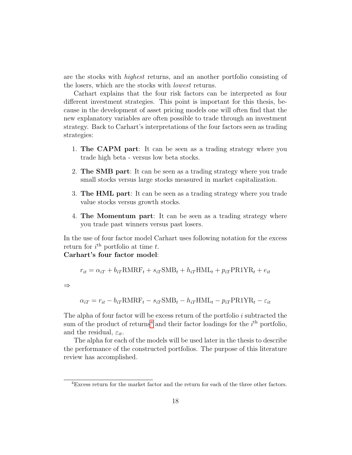are the stocks with highest returns, and an another portfolio consisting of the losers, which are the stocks with lowest returns.

Carhart explains that the four risk factors can be interpreted as four different investment strategies. This point is important for this thesis, because in the development of asset pricing models one will often find that the new explanatory variables are often possible to trade through an investment strategy. Back to Carhart's interpretations of the four factors seen as trading strategies:

- 1. The CAPM part: It can be seen as a trading strategy where you trade high beta - versus low beta stocks.
- 2. The SMB part: It can be seen as a trading strategy where you trade small stocks versus large stocks measured in market capitalization.
- 3. The HML part: It can be seen as a trading strategy where you trade value stocks versus growth stocks.
- 4. The Momentum part: It can be seen as a trading strategy where you trade past winners versus past losers.

In the use of four factor model Carhart uses following notation for the excess return for  $i^{\text{th}}$  portfolio at time t.

# Carhart's four factor model:

$$
r_{it} = \alpha_{iT} + b_{iT} \text{RMRF}_t + s_{iT} \text{SMB}_t + h_{iT} \text{HML}_t + p_{iT} \text{PR1} \text{YR}_t + e_{it}
$$

⇒

$$
\alpha_{iT} = r_{it} - b_{iT} \text{RMRF}_t - s_{iT} \text{SMB}_t - h_{iT} \text{HML}_t - p_{iT} \text{PR1} \text{YR}_t - \varepsilon_{it}
$$

The alpha of four factor will be excess return of the portfolio  $i$  subtracted the sum of the product of returns<sup>[4](#page-18-0)</sup> and their factor loadings for the  $i<sup>th</sup>$  portfolio, and the residual,  $\varepsilon_{it}$ .

The alpha for each of the models will be used later in the thesis to describe the performance of the constructed portfolios. The purpose of this literature review has accomplished.

<span id="page-18-0"></span><sup>4</sup>Excess return for the market factor and the return for each of the three other factors.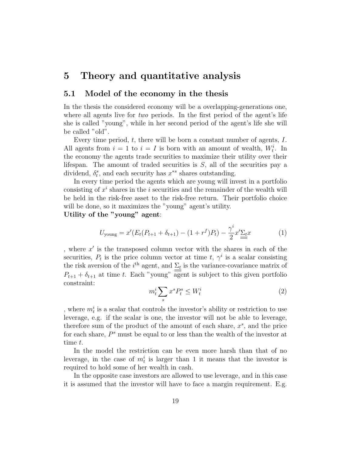# <span id="page-19-0"></span>5 Theory and quantitative analysis

### <span id="page-19-1"></span>5.1 Model of the economy in the thesis

In the thesis the considered economy will be a overlapping-generations one, where all agents live for two periods. In the first period of the agent's life she is called "young", while in her second period of the agent's life she will be called "old".

Every time period, t, there will be born a constant number of agents, I. All agents from  $i = 1$  to  $i = I$  is born with an amount of wealth,  $W_t^i$ . In the economy the agents trade securities to maximize their utility over their lifespan. The amount of traded securities is  $S$ , all of the securities pay a dividend,  $\delta_t^s$ , and each security has  $x^{*s}$  shares outstanding.

In every time period the agents which are young will invest in a portfolio consisting of  $x^i$  shares in the *i* securities and the remainder of the wealth will be held in the risk-free asset to the risk-free return. Their portfolio choice will be done, so it maximizes the "young" agent's utility.

Utility of the "young" agent:

$$
U_{\text{young}} = x'(E_t(P_{t+1} + \delta_{t+1}) - (1 + r^f)P_t) - \frac{\gamma^i}{2}x'\underline{\Sigma_t}x \tag{1}
$$

, where  $x'$  is the transposed column vector with the shares in each of the securities,  $P_t$  is the price column vector at time t,  $\gamma^i$  is a scalar consisting the risk aversion of the  $i<sup>th</sup>$  agent, and  $\Sigma_t$  is the variance-covariance matrix of  $P_{t+1} + \delta_{t+1}$  at time t. Each "young" agent is subject to this given portfolio constraint:

$$
m_t^i \sum_s x^s P_t^s \le W_t^i \tag{2}
$$

, where  $m_t^i$  is a scalar that controls the investor's ability or restriction to use leverage, e.g. if the scalar is one, the investor will not be able to leverage, therefore sum of the product of the amount of each share,  $x^s$ , and the price for each share,  $P^s$  must be equal to or less than the wealth of the investor at time t.

In the model the restriction can be even more harsh than that of no leverage, in the case of  $m_t^i$  is larger than 1 it means that the investor is required to hold some of her wealth in cash.

In the opposite case investors are allowed to use leverage, and in this case it is assumed that the investor will have to face a margin requirement. E.g.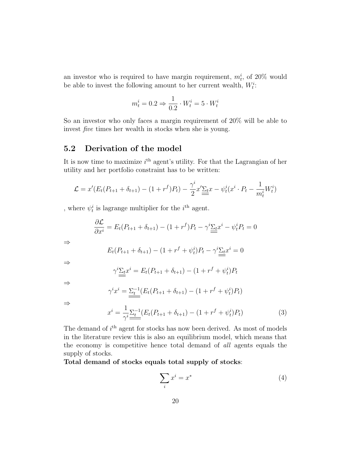an investor who is required to have margin requirement,  $m_t^i$ , of 20% would be able to invest the following amount to her current wealth,  $W_t^i$ :

$$
m_t^i = 0.2 \Rightarrow \frac{1}{0.2} \cdot W_t^i = 5 \cdot W_t^i
$$

So an investor who only faces a margin requirement of 20% will be able to invest five times her wealth in stocks when she is young.

### <span id="page-20-0"></span>5.2 Derivation of the model

It is now time to maximize  $i<sup>th</sup>$  agent's utility. For that the Lagrangian of her utility and her portfolio constraint has to be written:

$$
\mathcal{L} = x'(E_t(P_{t+1} + \delta_{t+1}) - (1+r^f)P_t) - \frac{\gamma^i}{2}x'\underline{\sum_t}x - \psi_t^i(x^i \cdot P_t - \frac{1}{m_t^i}W_t^i)
$$

, where  $\psi_t^i$  is lagrange multiplier for the  $i^{\text{th}}$  agent.

$$
\frac{\partial \mathcal{L}}{\partial x^i} = E_t(P_{t+1} + \delta_{t+1}) - (1 + r^f)P_t - \gamma^i \underline{\Sigma_t} x^i - \psi_t^i P_t = 0
$$

$$
E_t(P_{t+1} + \delta_{t+1}) - (1 + r^f + \psi_t^i)P_t - \gamma^i \underline{\Sigma_t} x^i = 0
$$

⇒

⇒

$$
\gamma^{i} \underline{\Sigma_{t}} x^{i} = E_{t}(P_{t+1} + \delta_{t+1}) - (1 + r^{f} + \psi_{t}^{i}) P_{t}
$$

⇒

$$
\gamma^i x^i = \underbrace{\Sigma_t^{-1}}(E_t(P_{t+1} + \delta_{t+1}) - (1 + r^f + \psi_t^i)P_t)
$$

⇒

$$
x^{i} = \frac{1}{\gamma^{i}} \sum_{t} \frac{1}{t} (E_{t}(P_{t+1} + \delta_{t+1}) - (1 + r^{f} + \psi_{t}^{i}) P_{t})
$$
(3)

The demand of  $i<sup>th</sup>$  agent for stocks has now been derived. As most of models in the literature review this is also an equilibrium model, which means that the economy is competitive hence total demand of all agents equals the supply of stocks.

Total demand of stocks equals total supply of stocks:

$$
\sum_{i} x^{i} = x^{*} \tag{4}
$$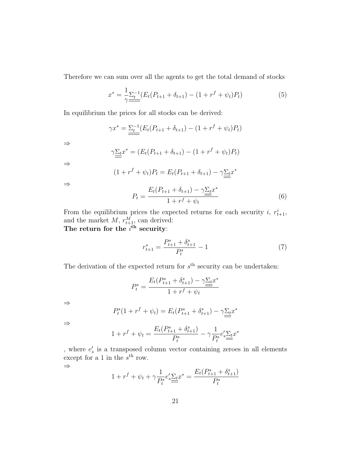Therefore we can sum over all the agents to get the total demand of stocks

$$
x^* = \frac{1}{\gamma} \sum_{t=1}^{t-1} (E_t(P_{t+1} + \delta_{t+1}) - (1 + r^f + \psi_t) P_t)
$$
(5)

In equilibrium the prices for all stocks can be derived:

$$
\gamma x^* = \underbrace{\Sigma_t^{-1}}_{\text{max}} (E_t (P_{t+1} + \delta_{t+1}) - (1 + r^f + \psi_t) P_t)
$$

⇒

$$
\gamma \underline{\Sigma_t} x^* = (E_t(P_{t+1} + \delta_{t+1}) - (1 + r^f + \psi_t) P_t)
$$

⇒

$$
(1 + r^f + \psi_t)P_t = E_t(P_{t+1} + \delta_{t+1}) - \gamma \underline{\Sigma_t} x^*
$$

⇒

$$
P_{t} = \frac{E_{t}(P_{t+1} + \delta_{t+1}) - \gamma \underline{\Sigma_{t}} x^{*}}{1 + r^{f} + \psi_{t}}
$$
(6)

From the equilibrium prices the expected returns for each security i,  $r_{t+1}^i$ , and the market  $M, r_{t+1}^M$ , can derived: The return for the  $i^{\text{th}}$  security:

$$
r_{t+1}^s = \frac{P_{t+1}^s + \delta_{t+1}^s}{P_t^s} - 1\tag{7}
$$

The derivation of the expected return for  $s<sup>th</sup>$  security can be undertaken:

$$
P_t^s = \frac{E_t(P_{t+1}^s + \delta_{t+1}^s) - \gamma \underline{\Sigma_t} x^*}{1 + r^f + \psi_t}
$$

⇒

$$
P_t^s(1 + r^f + \psi_t) = E_t(P_{t+1}^s + \delta_{t+1}^s) - \gamma \underline{\Sigma_t} x^*
$$

⇒

$$
1 + r^{f} + \psi_{t} = \frac{E_{t}(P_{t+1}^{s} + \delta_{t+1}^{s})}{P_{t}^{s}} - \gamma \frac{1}{P_{t}^{s}} e_{s}' \underline{\Sigma_{t}} x^{*}
$$

, where  $e'_s$  is a transposed column vector containing zeroes in all elements except for a 1 in the  $s<sup>th</sup>$  row. ⇒

$$
1 + r^{f} + \psi_{t} + \gamma \frac{1}{P_{t}^{s}} e_s' \underline{\Sigma_{t}} x^* = \frac{E_{t}(P_{t+1}^{s} + \delta_{t+1}^{s})}{P_{t}^{s}}
$$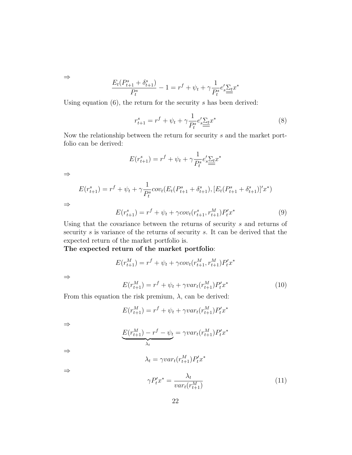⇒

$$
\frac{E_t(P_{t+1}^s+\delta_{t+1}^s)}{P_t^s}-1=r^f+\psi_t+\gamma\frac{1}{P_t^s}e_s'\underline{\Sigma_t}x^*
$$

Using equation  $(6)$ , the return for the security s has been derived:

$$
r_{t+1}^s = r^f + \psi_t + \gamma \frac{1}{P_t^s} e_s' \underline{\Sigma_t} x^*
$$
 (8)

Now the relationship between the return for security s and the market portfolio can be derived:

$$
E(r_{t+1}^s) = r^f + \psi_t + \gamma \frac{1}{P_t^s} e_s' \underline{\Sigma_t} x^*
$$

⇒

⇒

$$
E(r_{t+1}^s) = r^f + \psi_t + \gamma \frac{1}{P_t^s} cov_t(E_t(P_{t+1}^s + \delta_{t+1}^s), [E_t(P_{t+1}^s + \delta_{t+1}^s)]'x^*)
$$

 $E(r_{t+1}^s) = r^f + \psi_t + \gamma cov_t(r_{t+1}^s, r_{t+1}^M) P_t' x^*$ (9)

Using that the covariance between the returns of security  $s$  and returns of security s is variance of the returns of security s. It can be derived that the expected return of the market portfolio is.

The expected return of the market portfolio:

$$
E(r_{t+1}^M) = r^f + \psi_t + \gamma cov_t(r_{t+1}^M, r_{t+1}^M)P_t' x^*
$$

⇒

$$
E(r_{t+1}^M) = r^f + \psi_t + \gamma var_t(r_{t+1}^M) P'_t x^*
$$
\n(10)

 $t'x^*$ 

From this equation the risk premium,  $\lambda$ , can be derived:

$$
E(r_{t+1}^M)=r^f+\psi_t+\gamma var_t(r_{t+1}^M)P_t'x^*
$$

⇒

$$
\underbrace{E(r_{t+1}^M) - r^f - \psi_t}_{\lambda_t} = \gamma var_t(r_{t+1}^M) P_t^{\prime} x^*
$$

$$
\lambda_t = \gamma var_t(r_{t+1}^M)P
$$

⇒

⇒

$$
\gamma P_t' x^* = \frac{\lambda_t}{var_t(r_{t+1}^M)}\tag{11}
$$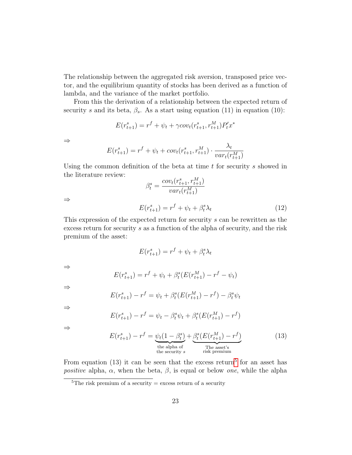The relationship between the aggregated risk aversion, transposed price vector, and the equilibrium quantity of stocks has been derived as a function of lambda, and the variance of the market portfolio.

From this the derivation of a relationship between the expected return of security s and its beta,  $\beta_s$ . As a start using equation (11) in equation (10):

$$
E(r_{t+1}^s) = r^f + \psi_t + \gamma cov_t(r_{t+1}^s, r_{t+1}^M)P_t' x^*
$$

⇒

⇒

$$
E(r_{t+1}^s) = r^f + \psi_t + cov_t(r_{t+1}^s, r_{t+1}^M) \cdot \frac{\lambda_t}{var_t(r_{t+1}^M)}
$$

Using the common definition of the beta at time  $t$  for security s showed in the literature review:

$$
\beta_t^s = \frac{cov_t(r_{t+1}^s, r_{t+1}^M)}{var_t(r_{t+1}^M)}
$$

$$
E(r_{t+1}^s) = r^f + \psi_t + \beta_t^s \lambda_t
$$
(12)

This expression of the expected return for security s can be rewritten as the excess return for security s as a function of the alpha of security, and the risk premium of the asset:

$$
E(r_{t+1}^s) = r^f + \psi_t + \beta_t^s \lambda_t
$$

⇒

$$
E(r_{t+1}^s) = r^f + \psi_t + \beta_t^s (E(r_{t+1}^M) - r^f - \psi_t)
$$

⇒

$$
E(r_{t+1}^s) - r^f = \psi_t + \beta_t^s (E(r_{t+1}^M) - r^f) - \beta_t^s \psi_t
$$

⇒

$$
E(r_{t+1}^s) - r^f = \psi_t - \beta_t^s \psi_t + \beta_t^s (E(r_{t+1}^M) - r^f)
$$

⇒

$$
E(r_{t+1}^s) - r^f = \underbrace{\psi_t(1 - \beta_t^s)}_{\text{the alpha of} \atop \text{the security } s} + \underbrace{\beta_t^s(E(r_{t+1}^M) - r^f)}_{\text{The asset's} \atop \text{risk premium}} \tag{13}
$$

From equation (13) it can be seen that the excess return<sup>[5](#page-23-0)</sup> for an asset has *positive* alpha,  $\alpha$ , when the beta,  $\beta$ , is equal or below *one*, while the alpha

<span id="page-23-0"></span><sup>&</sup>lt;sup>5</sup>The risk premium of a security  $=$  excess return of a security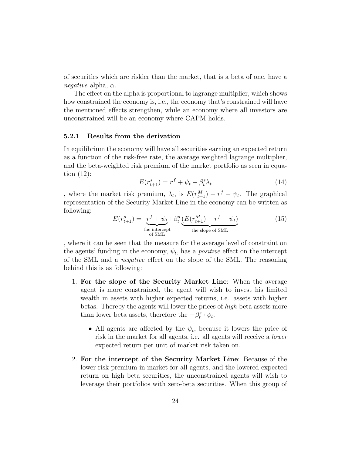of securities which are riskier than the market, that is a beta of one, have a *negative* alpha,  $\alpha$ .

The effect on the alpha is proportional to lagrange multiplier, which shows how constrained the economy is, i.e., the economy that's constrained will have the mentioned effects strengthen, while an economy where all investors are unconstrained will be an economy where CAPM holds.

### <span id="page-24-0"></span>5.2.1 Results from the derivation

In equilibrium the economy will have all securities earning an expected return as a function of the risk-free rate, the average weighted lagrange multiplier, and the beta-weighted risk premium of the market portfolio as seen in equation (12):

$$
E(r_{t+1}^s) = r^f + \psi_t + \beta_t^s \lambda_t \tag{14}
$$

, where the market risk premium,  $\lambda_t$ , is  $E(r_{t+1}^M) - r^f - \psi_t$ . The graphical representation of the Security Market Line in the economy can be written as following:

$$
E(r_{t+1}^s) = \underbrace{r^f + \psi_t}_{\text{the intercept}} + \beta_t^s \underbrace{(E(r_{t+1}^M) - r^f - \psi_t)}_{\text{the slope of SML}} \tag{15}
$$

, where it can be seen that the measure for the average level of constraint on the agents' funding in the economy,  $\psi_t$ , has a *positive* effect on the intercept of the SML and a negative effect on the slope of the SML. The reasoning behind this is as following:

- 1. For the slope of the Security Market Line: When the average agent is more constrained, the agent will wish to invest his limited wealth in assets with higher expected returns, i.e. assets with higher betas. Thereby the agents will lower the prices of high beta assets more than lower beta assets, therefore the  $-\beta_t^s \cdot \psi_t$ .
	- All agents are affected by the  $\psi_t$ , because it lowers the price of risk in the market for all agents, i.e. all agents will receive a lower expected return per unit of market risk taken on.
- 2. For the intercept of the Security Market Line: Because of the lower risk premium in market for all agents, and the lowered expected return on high beta securities, the unconstrained agents will wish to leverage their portfolios with zero-beta securities. When this group of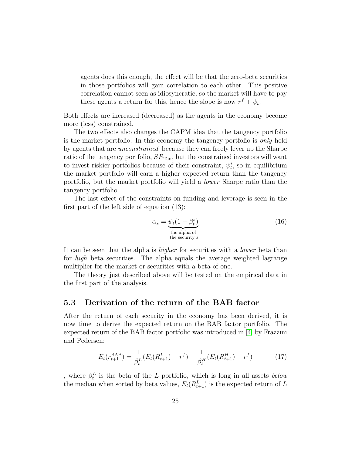agents does this enough, the effect will be that the zero-beta securities in those portfolios will gain correlation to each other. This positive correlation cannot seen as idiosyncratic, so the market will have to pay these agents a return for this, hence the slope is now  $r^f + \psi_t$ .

Both effects are increased (decreased) as the agents in the economy become more (less) constrained.

The two effects also changes the CAPM idea that the tangency portfolio is the market portfolio. In this economy the tangency portfolio is only held by agents that are unconstrained, because they can freely lever up the Sharpe ratio of the tangency portfolio,  $SR_{Tan}$ , but the constrained investors will want to invest riskier portfolios because of their constraint,  $\psi_t^i$ , so in equilibrium the market portfolio will earn a higher expected return than the tangency portfolio, but the market portfolio will yield a lower Sharpe ratio than the tangency portfolio.

The last effect of the constraints on funding and leverage is seen in the first part of the left side of equation (13):

$$
\alpha_s = \underbrace{\psi_t (1 - \beta_t^s)}_{\text{the alpha of} \atop \text{the security } s} \tag{16}
$$

It can be seen that the alpha is *higher* for securities with a *lower* beta than for high beta securities. The alpha equals the average weighted lagrange multiplier for the market or securities with a beta of one.

The theory just described above will be tested on the empirical data in the first part of the analysis.

### <span id="page-25-0"></span>5.3 Derivation of the return of the BAB factor

After the return of each security in the economy has been derived, it is now time to derive the expected return on the BAB factor portfolio. The expected return of the BAB factor portfolio was introduced in [\[4\]](#page-45-1) by Frazzini and Pedersen:

$$
E_t(r_{t+1}^{\text{BAB}}) = \frac{1}{\beta_t^L} (E_t(R_{t+1}^L) - r^f) - \frac{1}{\beta_t^H} (E_t(R_{t+1}^H) - r^f)
$$
(17)

, where  $\beta_t^L$  is the beta of the L portfolio, which is long in all assets *below* the median when sorted by beta values,  $E_t(R_{t+1}^L)$  is the expected return of L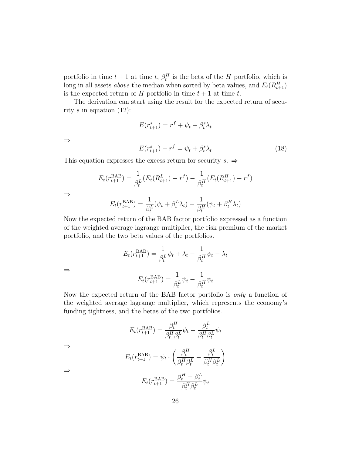portfolio in time  $t + 1$  at time  $t, \beta_t^H$  is the beta of the H portfolio, which is long in all assets *above* the median when sorted by beta values, and  $E_t(R_{t+1}^H)$ is the expected return of H portfolio in time  $t + 1$  at time t.

The derivation can start using the result for the expected return of security s in equation  $(12)$ :

$$
E(r_{t+1}^s) = r^f + \psi_t + \beta_t^s \lambda_t
$$
  

$$
E(r_{t+1}^s) - r^f = \psi_t + \beta_t^s \lambda_t
$$
 (18)

This equation expresses the excess return for security  $s. \Rightarrow$ 

$$
E_t(r_{t+1}^{BAB}) = \frac{1}{\beta_t^L} (E_t(R_{t+1}^L) - r^f) - \frac{1}{\beta_t^H} (E_t(R_{t+1}^H) - r^f)
$$

⇒

⇒

$$
E_t(r_{t+1}^{BAB}) = \frac{1}{\beta_t^L}(\psi_t + \beta_t^L \lambda_t) - \frac{1}{\beta_t^H}(\psi_t + \beta_t^H \lambda_t)
$$

Now the expected return of the BAB factor portfolio expressed as a function of the weighted average lagrange multiplier, the risk premium of the market portfolio, and the two beta values of the portfolios.

$$
E_t(r_{t+1}^{\text{BAB}}) = \frac{1}{\beta_t^L} \psi_t + \lambda_t - \frac{1}{\beta_t^H} \psi_t - \lambda_t
$$

⇒

$$
E_t(r_{t+1}^{\text{BAB}}) = \frac{1}{\beta_t^L} \psi_t - \frac{1}{\beta_t^H} \psi_t
$$

Now the expected return of the BAB factor portfolio is only a function of the weighted average lagrange multiplier, which represents the economy's funding tightness, and the betas of the two portfolios.

$$
E_t(r_{t+1}^{\text{BAB}}) = \frac{\beta_t^H}{\beta_t^H \beta_t^L} \psi_t - \frac{\beta_t^L}{\beta_t^H \beta_t^L} \psi_t
$$

⇒

$$
E_t(r_{t+1}^{BAB}) = \psi_t \cdot \left(\frac{\beta_t^H}{\beta_t^H \beta_t^L} - \frac{\beta_t^L}{\beta_t^H \beta_t^L}\right)
$$

$$
E_t(r_{t+1}^{BAB}) = \frac{\beta_t^H - \beta_t^L}{\beta_t^H \beta_t^L} \psi_t
$$

⇒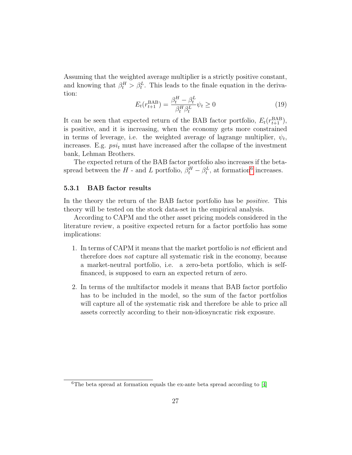Assuming that the weighted average multiplier is a strictly positive constant, and knowing that  $\beta_t^H > \beta_t^L$ . This leads to the finale equation in the derivation:

$$
E_t(r_{t+1}^{BAB}) = \frac{\beta_t^H - \beta_t^L}{\beta_t^H \beta_t^L} \psi_t \ge 0
$$
\n(19)

It can be seen that expected return of the BAB factor portfolio,  $E_t(r_{t+1}^{\text{BAB}})$ , is positive, and it is increasing, when the economy gets more constrained in terms of leverage, i.e. the weighted average of lagrange multiplier,  $\psi_t$ , increases. E.g.  $psi_t$  must have increased after the collapse of the investment bank, Lehman Brothers.

The expected return of the BAB factor portfolio also increases if the betaspread between the H - and L portfolio,  $\beta_t^H - \beta_t^L$ , at formation<sup>[6](#page-27-1)</sup> increases.

### <span id="page-27-0"></span>5.3.1 BAB factor results

In the theory the return of the BAB factor portfolio has be *positive*. This theory will be tested on the stock data-set in the empirical analysis.

According to CAPM and the other asset pricing models considered in the literature review, a positive expected return for a factor portfolio has some implications:

- 1. In terms of CAPM it means that the market portfolio is not efficient and therefore does not capture all systematic risk in the economy, because a market-neutral portfolio, i.e. a zero-beta portfolio, which is selffinanced, is supposed to earn an expected return of zero.
- 2. In terms of the multifactor models it means that BAB factor portfolio has to be included in the model, so the sum of the factor portfolios will capture all of the systematic risk and therefore be able to price all assets correctly according to their non-idiosyncratic risk exposure.

<span id="page-27-1"></span><sup>&</sup>lt;sup>6</sup>The beta spread at formation equals the ex-ante beta spread according to  $[4]$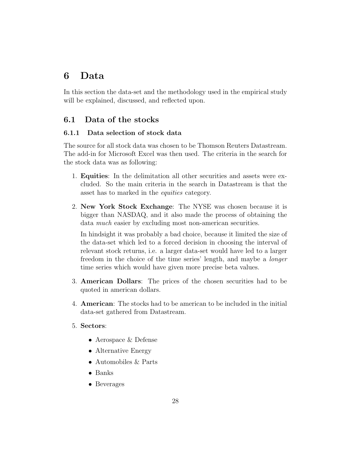# <span id="page-28-0"></span>6 Data

In this section the data-set and the methodology used in the empirical study will be explained, discussed, and reflected upon.

### <span id="page-28-1"></span>6.1 Data of the stocks

### <span id="page-28-2"></span>6.1.1 Data selection of stock data

The source for all stock data was chosen to be Thomson Reuters Datastream. The add-in for Microsoft Excel was then used. The criteria in the search for the stock data was as following:

- 1. Equities: In the delimitation all other securities and assets were excluded. So the main criteria in the search in Datastream is that the asset has to marked in the equities category.
- 2. New York Stock Exchange: The NYSE was chosen because it is bigger than NASDAQ, and it also made the process of obtaining the data *much* easier by excluding most non-american securities.

In hindsight it was probably a bad choice, because it limited the size of the data-set which led to a forced decision in choosing the interval of relevant stock returns, i.e. a larger data-set would have led to a larger freedom in the choice of the time series' length, and maybe a longer time series which would have given more precise beta values.

- 3. American Dollars: The prices of the chosen securities had to be quoted in american dollars.
- 4. American: The stocks had to be american to be included in the initial data-set gathered from Datastream.
- 5. Sectors:
	- Aerospace & Defense
	- Alternative Energy
	- Automobiles & Parts
	- Banks
	- Beverages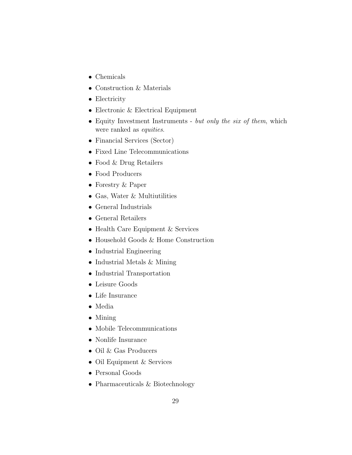- Chemicals
- Construction & Materials
- Electricity
- Electronic & Electrical Equipment
- Equity Investment Instruments but only the six of them, which were ranked as equities.
- Financial Services (Sector)
- Fixed Line Telecommunications
- Food & Drug Retailers
- Food Producers
- Forestry & Paper
- Gas, Water & Multiutilities
- General Industrials
- General Retailers
- Health Care Equipment & Services
- Household Goods & Home Construction
- Industrial Engineering
- Industrial Metals & Mining
- Industrial Transportation
- Leisure Goods
- Life Insurance
- Media
- Mining
- Mobile Telecommunications
- Nonlife Insurance
- Oil & Gas Producers
- Oil Equipment & Services
- Personal Goods
- Pharmaceuticals & Biotechnology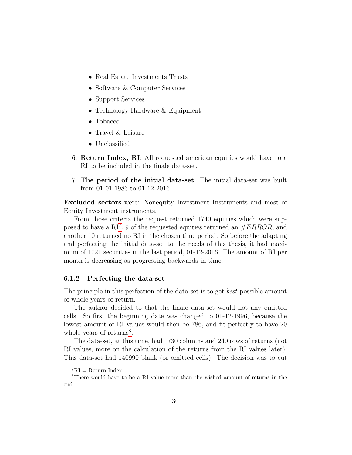- Real Estate Investments Trusts
- Software & Computer Services
- Support Services
- Technology Hardware & Equipment
- Tobacco
- Travel & Leisure
- Unclassified
- 6. Return Index, RI: All requested american equities would have to a RI to be included in the finale data-set.
- 7. The period of the initial data-set: The initial data-set was built from 01-01-1986 to 01-12-2016.

Excluded sectors were: Nonequity Investment Instruments and most of Equity Investment instruments.

From those criteria the request returned 1740 equities which were sup-posed to have a RI<sup>[7](#page-30-1)</sup>. 9 of the requested equities returned an  $\#ERROR$ , and another 10 returned no RI in the chosen time period. So before the adapting and perfecting the initial data-set to the needs of this thesis, it had maximum of 1721 securities in the last period, 01-12-2016. The amount of RI per month is decreasing as progressing backwards in time.

### <span id="page-30-0"></span>6.1.2 Perfecting the data-set

The principle in this perfection of the data-set is to get best possible amount of whole years of return.

The author decided to that the finale data-set would not any omitted cells. So first the beginning date was changed to 01-12-1996, because the lowest amount of RI values would then be 786, and fit perfectly to have 20 whole years of returns<sup>[8](#page-30-2)</sup>.

The data-set, at this time, had 1730 columns and 240 rows of returns (not RI values, more on the calculation of the returns from the RI values later). This data-set had 140990 blank (or omitted cells). The decision was to cut

<span id="page-30-2"></span><span id="page-30-1"></span> ${}^{7}RI =$  Return Index

<sup>8</sup>There would have to be a RI value more than the wished amount of returns in the end.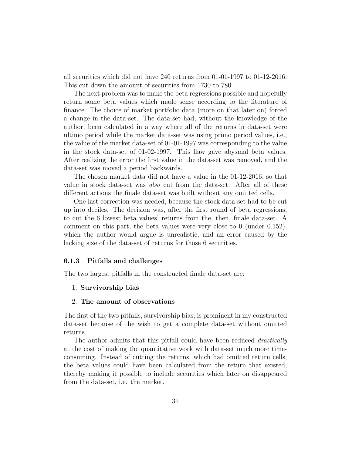all securities which did not have 240 returns from 01-01-1997 to 01-12-2016. This cut down the amount of securities from 1730 to 780.

The next problem was to make the beta regressions possible and hopefully return some beta values which made sense according to the literature of finance. The choice of market portfolio data (more on that later on) forced a change in the data-set. The data-set had, without the knowledge of the author, been calculated in a way where all of the returns in data-set were ultimo period while the market data-set was using primo period values, i.e., the value of the market data-set of 01-01-1997 was corresponding to the value in the stock data-set of 01-02-1997. This flaw gave abysmal beta values. After realizing the error the first value in the data-set was removed, and the data-set was moved a period backwards.

The chosen market data did not have a value in the 01-12-2016, so that value in stock data-set was also cut from the data-set. After all of these different actions the finale data-set was built without any omitted cells.

One last correction was needed, because the stock data-set had to be cut up into deciles. The decision was, after the first round of beta regressions, to cut the 6 lowest beta values' returns from the, then, finale data-set. A comment on this part, the beta values were very close to 0 (under 0.152), which the author would argue is unrealistic, and an error caused by the lacking size of the data-set of returns for those 6 securities.

#### <span id="page-31-0"></span>6.1.3 Pitfalls and challenges

The two largest pitfalls in the constructed finale data-set are:

#### 1. Survivorship bias

#### 2. The amount of observations

The first of the two pitfalls, survivorship bias, is prominent in my constructed data-set because of the wish to get a complete data-set without omitted returns.

The author admits that this pitfall could have been reduced *drastically* at the cost of making the quantitative work with data-set much more timeconsuming. Instead of cutting the returns, which had omitted return cells, the beta values could have been calculated from the return that existed, thereby making it possible to include securities which later on disappeared from the data-set, i.e. the market.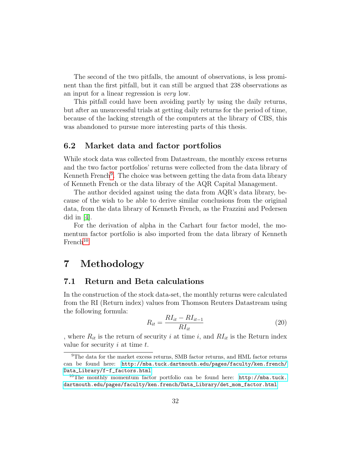The second of the two pitfalls, the amount of observations, is less prominent than the first pitfall, but it can still be argued that 238 observations as an input for a linear regression is very low.

This pitfall could have been avoiding partly by using the daily returns, but after an unsuccessful trials at getting daily returns for the period of time, because of the lacking strength of the computers at the library of CBS, this was abandoned to pursue more interesting parts of this thesis.

### <span id="page-32-0"></span>6.2 Market data and factor portfolios

While stock data was collected from Datastream, the monthly excess returns and the two factor portfolios' returns were collected from the data library of Kenneth French<sup>[9](#page-32-3)</sup>. The choice was between getting the data from data library of Kenneth French or the data library of the AQR Capital Management.

The author decided against using the data from AQR's data library, because of the wish to be able to derive similar conclusions from the original data, from the data library of Kenneth French, as the Frazzini and Pedersen did in  $[4]$ .

For the derivation of alpha in the Carhart four factor model, the momentum factor portfolio is also imported from the data library of Kenneth  $French<sup>10</sup>$  $French<sup>10</sup>$  $French<sup>10</sup>$ 

# <span id="page-32-1"></span>7 Methodology

### <span id="page-32-2"></span>7.1 Return and Beta calculations

In the construction of the stock data-set, the monthly returns were calculated from the RI (Return index) values from Thomson Reuters Datastream using the following formula:

$$
R_{it} = \frac{RI_{it} - RI_{it-1}}{RI_{it}}\tag{20}
$$

, where  $R_{it}$  is the return of security i at time i, and  $RI_{it}$  is the Return index value for security  $i$  at time  $t$ .

<span id="page-32-3"></span><sup>9</sup>The data for the market excess returns, SMB factor returns, and HML factor returns can be found here: [http://mba.tuck.dartmouth.edu/pages/faculty/ken.french/](http://mba.tuck.dartmouth.edu/pages/faculty/ken.french/Data_Library/f-f_factors.html) [Data\\_Library/f-f\\_factors.html](http://mba.tuck.dartmouth.edu/pages/faculty/ken.french/Data_Library/f-f_factors.html)

<span id="page-32-4"></span><sup>&</sup>lt;sup>10</sup>The monthly momentum factor portfolio can be found here:  $http://mba.tuck.$ [dartmouth.edu/pages/faculty/ken.french/Data\\_Library/det\\_mom\\_factor.html](http://mba.tuck.dartmouth.edu/pages/faculty/ken.french/Data_Library/det_mom_factor.html)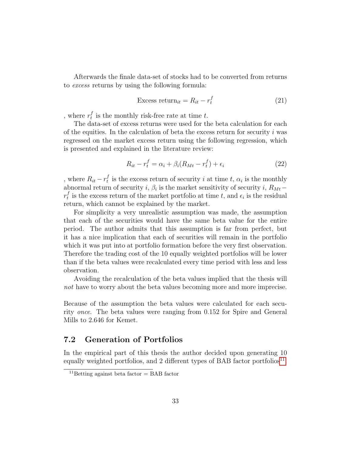Afterwards the finale data-set of stocks had to be converted from returns to excess returns by using the following formula:

$$
\text{Excess return}_{it} = R_{it} - r_t^f \tag{21}
$$

, where  $r_t^f$  $t_t$  is the monthly risk-free rate at time t.

The data-set of excess returns were used for the beta calculation for each of the equities. In the calculation of beta the excess return for security  $i$  was regressed on the market excess return using the following regression, which is presented and explained in the literature review:

$$
R_{it} - r_t^f = \alpha_i + \beta_i (R_{Mt} - r_t^f) + \epsilon_i \tag{22}
$$

, where  $R_{it} - r_t^f$  $_t^j$  is the excess return of security i at time t,  $\alpha_i$  is the monthly abnormal return of security *i*,  $\beta_i$  is the market sensitivity of security *i*,  $R_{Mt}$  –  $r_t^f$  $_t^t$  is the excess return of the market portfolio at time t, and  $\epsilon_i$  is the residual return, which cannot be explained by the market.

For simplicity a very unrealistic assumption was made, the assumption that each of the securities would have the same beta value for the entire period. The author admits that this assumption is far from perfect, but it has a nice implication that each of securities will remain in the portfolio which it was put into at portfolio formation before the very first observation. Therefore the trading cost of the 10 equally weighted portfolios will be lower than if the beta values were recalculated every time period with less and less observation.

Avoiding the recalculation of the beta values implied that the thesis will not have to worry about the beta values becoming more and more imprecise.

Because of the assumption the beta values were calculated for each security once. The beta values were ranging from 0.152 for Spire and General Mills to 2.646 for Kemet.

### <span id="page-33-0"></span>7.2 Generation of Portfolios

In the empirical part of this thesis the author decided upon generating 10 equally weighted portfolios, and 2 different types of BAB factor portfolios<sup>[11](#page-33-1)</sup>.

<span id="page-33-1"></span><sup>&</sup>lt;sup>11</sup>Betting against beta factor = BAB factor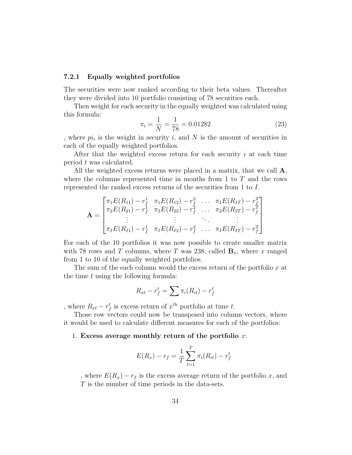### <span id="page-34-0"></span>7.2.1 Equally weighted portfolios

The securities were now ranked according to their beta values. Thereafter they were divided into 10 portfolio consisting of 78 securities each.

Then weight for each security in the equally weighted was calculated using this formula:

$$
\pi_i = \frac{1}{N} = \frac{1}{78} = 0.01282\tag{23}
$$

, where  $pi_i$  is the weight in security i, and N is the amount of securities in each of the equally weighted portfolios.

After that the weighted excess return for each security i at each time period t was calculated.

All the weighted excess returns were placed in a matrix, that we call  $\mathbf{A}$ , where the columns represented time in months from 1 to  $T$  and the rows represented the ranked excess returns of the securities from 1 to I.

$$
\mathbf{A} = \begin{bmatrix} \pi_1 E(R_{11}) - r_f^1 & \pi_1 E(R_{12}) - r_f^2 & \dots & \pi_1 E(R_{1T}) - r_f^T \\ \pi_2 E(R_{21}) - r_f^1 & \pi_2 E(R_{22}) - r_f^2 & \dots & \pi_2 E(R_{2T}) - r_f^T \\ \vdots & \vdots & \ddots & \vdots \\ \pi_I E(R_{I1}) - r_f^1 & \pi_I E(R_{I2}) - r_f^2 & \dots & \pi_I E(R_{IT}) - r_f^T \end{bmatrix}
$$

For each of the 10 portfolios it was now possible to create smaller matrix with 78 rows and T columns, where T was 238, called  $\mathbf{B}_x$ , where x ranged from 1 to 10 of the equally weighted portfolios.

The sum of the each column would the excess return of the portfolio  $x$  at the time  $t$  using the following formula:

$$
R_{xt} - r_f^t = \sum \pi_i(R_{it}) - r_f^t
$$

, where  $R_{xt} - r_f^t$  is excess return of  $x^{\text{th}}$  portfolio at time t.

Those row vectors could now be transposed into column vectors, where it would be used to calculate different measures for each of the portfolios:

### 1. Excess average monthly return of the portfolio  $x$ :

$$
E(R_x) - r_f = \frac{1}{T} \sum_{t=1}^{T} \pi_i(R_{it}) - r_f^t
$$

, where  $E(R_x) - r_f$  is the excess average return of the portfolio x, and T is the number of time periods in the data-sets.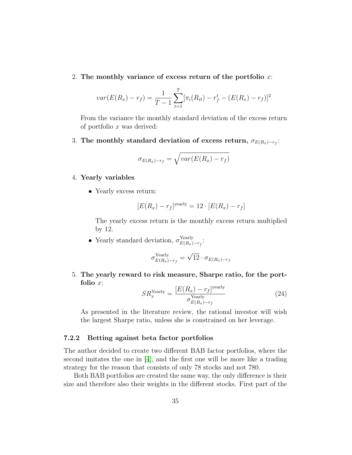#### 2. The monthly variance of excess return of the portfolio  $x$ .

$$
var(E(R_x) - r_f) = \frac{1}{T - 1} \sum_{t=1}^{T} [\pi_i(R_{it}) - r_f^t - (E(R_x) - r_f)]^2
$$

From the variance the monthly standard deviation of the excess return of portfolio x was derived:

3. The monthly standard deviation of excess return,  $\sigma_{E(R_x) - r_f}$ :

$$
\sigma_{E(R_x)-r_f} = \sqrt{var(E(R_x)-r_f)}
$$

#### 4. Yearly variables

• Yearly excess return:

$$
[E(R_x) - r_f]^{\text{yearly}} = 12 \cdot [E(R_x) - r_f]
$$

The yearly excess return is the monthly excess return multiplied by 12.

• Yearly standard deviation,  $\sigma_{E(R_1)}^{\text{Yearly}}$ Yearly<br> $E(R_x)-r_f$ <sup>:</sup>

$$
\sigma_{E(R_x)-r_f}^{\text{Yearly}} = \sqrt{12} \cdot \sigma_{E(R_x)-r_f}
$$

5. The yearly reward to risk measure, Sharpe ratio, for the portfolio x:

$$
SR_x^{\text{Yearly}} = \frac{[E(R_x) - r_f]^{\text{yearly}}}{\sigma_{E(R_x) - r_f}^{\text{Yearly}}}
$$
\n(24)

As presented in the literature review, the rational investor will wish the largest Sharpe ratio, unless she is constrained on her leverage.

### <span id="page-35-0"></span>7.2.2 Betting against beta factor portfolios

The author decided to create two different BAB factor portfolios, where the second imitates the one in [\[4\]](#page-45-1), and the first one will be more like a trading strategy for the reason that consists of only 78 stocks and not 780.

Both BAB portfolios are created the same way, the only difference is their size and therefore also their weights in the different stocks. First part of the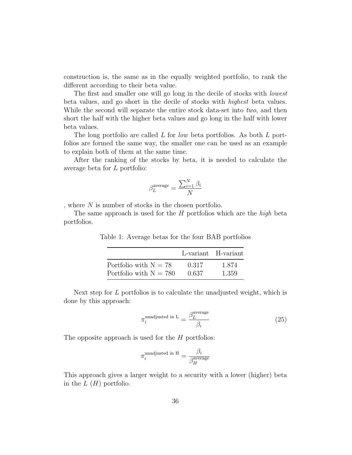construction is, the same as in the equally weighted portfolio, to rank the different according to their beta value.

The first and smaller one will go long in the decile of stocks with *lowest* beta values, and go short in the decile of stocks with highest beta values. While the second will separate the entire stock data-set into two, and then short the half with the higher beta values and go long in the half with lower beta values.

The long portfolio are called L for low beta portfolios. As both L portfolios are formed the same way, the smaller one can be used as an example to explain both of them at the same time.

After the ranking of the stocks by beta, it is needed to calculate the average beta for L portfolio:

$$
\beta_L^{\text{average}} = \frac{\sum_{i=1}^{N} \beta_i}{N}
$$

, where  $N$  is number of stocks in the chosen portfolio.

The same approach is used for the  $H$  portfolios which are the high beta portfolios.

|                          |       | L-variant H-variant |
|--------------------------|-------|---------------------|
| Portfolio with $N = 78$  | 0.317 | 1.874               |
| Portfolio with $N = 780$ | 0.637 | 1.359               |

Table 1: Average betas for the four BAB portfolios

Next step for L portfolios is to calculate the unadjusted weight, which is done by this approach:

$$
\pi_i^{\text{unadjusted in L}} = \frac{\beta_L^{\text{average}}}{\beta_i} \tag{25}
$$

The opposite approach is used for the  $H$  portfolios:

$$
\pi_i^{\rm unadjusted\ in\ H} = \frac{\beta_i}{\beta_H^{\rm average}}
$$

This approach gives a larger weight to a security with a lower (higher) beta in the  $L(H)$  portfolio.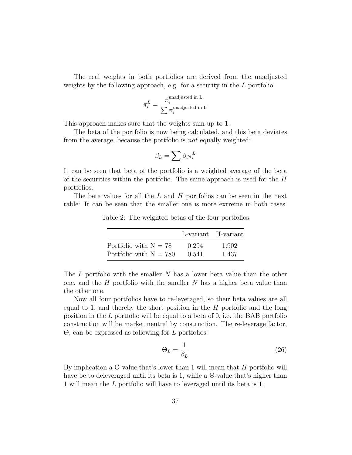The real weights in both portfolios are derived from the unadjusted weights by the following approach, e.g. for a security in the L portfolio:

$$
\pi_i^L = \frac{\pi_i^{\text{unadjusted in L}}}{\sum \pi_i^{\text{unadjusted in L}}}
$$

This approach makes sure that the weights sum up to 1.

The beta of the portfolio is now being calculated, and this beta deviates from the average, because the portfolio is not equally weighted:

$$
\beta_L = \sum \beta_i \pi_i^L
$$

It can be seen that beta of the portfolio is a weighted average of the beta of the securities within the portfolio. The same approach is used for the H portfolios.

The beta values for all the  $L$  and  $H$  portfolios can be seen in the next table: It can be seen that the smaller one is more extreme in both cases.

Table 2: The weighted betas of the four portfolios

|                          |       | L-variant H-variant |
|--------------------------|-------|---------------------|
| Portfolio with $N = 78$  | 0.294 | 1.902               |
| Portfolio with $N = 780$ | 0.541 | 1.437               |

The  $L$  portfolio with the smaller  $N$  has a lower beta value than the other one, and the  $H$  portfolio with the smaller  $N$  has a higher beta value than the other one.

Now all four portfolios have to re-leveraged, so their beta values are all equal to 1, and thereby the short position in the  $H$  portfolio and the long position in the L portfolio will be equal to a beta of 0, i.e. the BAB portfolio construction will be market neutral by construction. The re-leverage factor,  $\Theta$ , can be expressed as following for L portfolios:

$$
\Theta_L = \frac{1}{\beta_L} \tag{26}
$$

By implication a  $\Theta$ -value that's lower than 1 will mean that H portfolio will have be to deleveraged until its beta is 1, while a Θ-value that's higher than 1 will mean the L portfolio will have to leveraged until its beta is 1.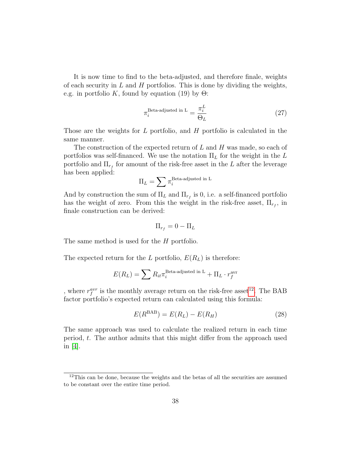It is now time to find to the beta-adjusted, and therefore finale, weights of each security in  $L$  and  $H$  portfolios. This is done by dividing the weights, e.g. in portfolio K, found by equation (19) by  $\Theta$ :

$$
\pi_i^{\text{Beta-adjusted in L}} = \frac{\pi_i^L}{\Theta_L} \tag{27}
$$

Those are the weights for  $L$  portfolio, and  $H$  portfolio is calculated in the same manner.

The construction of the expected return of L and H was made, so each of portfolios was self-financed. We use the notation  $\Pi_L$  for the weight in the L portfolio and  $\Pi_{r_f}$  for amount of the risk-free asset in the L after the leverage has been applied:

$$
\Pi_L = \sum \pi_i^{\text{Beta-adjusted in L}}
$$

And by construction the sum of  $\Pi_L$  and  $\Pi_{r_f}$  is 0, i.e. a self-financed portfolio has the weight of zero. From this the weight in the risk-free asset,  $\Pi_{r_f}$ , in finale construction can be derived:

$$
\Pi_{r_f} = 0 - \Pi_L
$$

The same method is used for the H portfolio.

The expected return for the L portfolio,  $E(R_L)$  is therefore:

$$
E(R_L) = \sum R_{it} \pi_i^{\text{Beta-adjusted in L}} + \Pi_L \cdot r_f^{\text{avr}}
$$

, where  $r_f^{avr}$  is the monthly average return on the risk-free asset<sup>[12](#page-38-0)</sup>. The BAB factor portfolio's expected return can calculated using this formula:

$$
E(R^{BAB}) = E(R_L) - E(R_H)
$$
\n(28)

The same approach was used to calculate the realized return in each time period, t. The author admits that this might differ from the approach used in  $|4|$ .

<span id="page-38-0"></span> $12$ This can be done, because the weights and the betas of all the securities are assumed to be constant over the entire time period.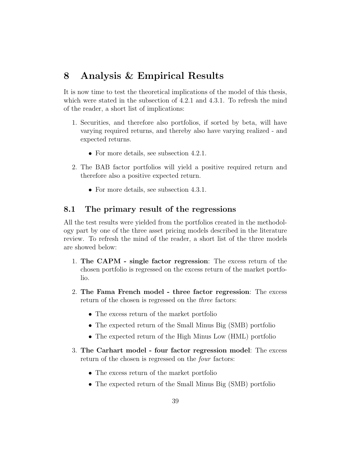# <span id="page-39-0"></span>8 Analysis & Empirical Results

It is now time to test the theoretical implications of the model of this thesis, which were stated in the subsection of 4.2.1 and 4.3.1. To refresh the mind of the reader, a short list of implications:

- 1. Securities, and therefore also portfolios, if sorted by beta, will have varying required returns, and thereby also have varying realized - and expected returns.
	- For more details, see subsection 4.2.1.
- 2. The BAB factor portfolios will yield a positive required return and therefore also a positive expected return.
	- For more details, see subsection 4.3.1.

### <span id="page-39-1"></span>8.1 The primary result of the regressions

All the test results were yielded from the portfolios created in the methodology part by one of the three asset pricing models described in the literature review. To refresh the mind of the reader, a short list of the three models are showed below:

- 1. The CAPM single factor regression: The excess return of the chosen portfolio is regressed on the excess return of the market portfolio.
- 2. The Fama French model three factor regression: The excess return of the chosen is regressed on the *three* factors:
	- The excess return of the market portfolio
	- The expected return of the Small Minus Big (SMB) portfolio
	- The expected return of the High Minus Low (HML) portfolio
- 3. The Carhart model four factor regression model: The excess return of the chosen is regressed on the *four* factors:
	- The excess return of the market portfolio
	- The expected return of the Small Minus Big (SMB) portfolio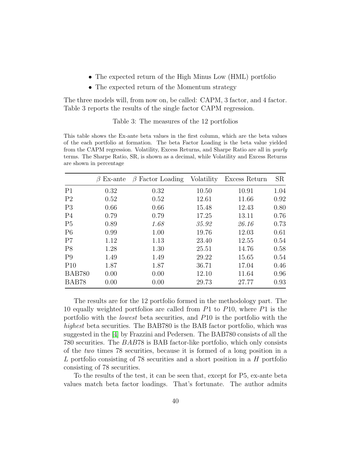- The expected return of the High Minus Low (HML) portfolio
- The expected return of the Momentum strategy

The three models will, from now on, be called: CAPM, 3 factor, and 4 factor. Table 3 reports the results of the single factor CAPM regression.

#### Table 3: The measures of the 12 portfolios

This table shows the Ex-ante beta values in the first column, which are the beta values of the each portfolio at formation. The beta Factor Loading is the beta value yielded from the CAPM regression. Volatility, Excess Returns, and Sharpe Ratio are all in yearly terms. The Sharpe Ratio, SR, is shown as a decimal, while Volatility and Excess Returns are shown in percentage

|                | $Ex$ -ante<br>$\beta$ | $\beta$ Factor Loading | Volatility | Excess Return | SR   |
|----------------|-----------------------|------------------------|------------|---------------|------|
| P <sub>1</sub> | 0.32                  | 0.32                   | 10.50      | 10.91         | 1.04 |
| P <sub>2</sub> | 0.52                  | 0.52                   | 12.61      | 11.66         | 0.92 |
| P <sub>3</sub> | 0.66                  | 0.66                   | 15.48      | 12.43         | 0.80 |
| P <sub>4</sub> | 0.79                  | 0.79                   | 17.25      | 13.11         | 0.76 |
| P <sub>5</sub> | 0.89                  | 1.68                   | 35.92      | 26.16         | 0.73 |
| P <sub>6</sub> | 0.99                  | 1.00                   | 19.76      | 12.03         | 0.61 |
| P7             | 1.12                  | 1.13                   | 23.40      | 12.55         | 0.54 |
| P <sub>8</sub> | 1.28                  | 1.30                   | 25.51      | 14.76         | 0.58 |
| P <sub>9</sub> | 1.49                  | 1.49                   | 29.22      | 15.65         | 0.54 |
| P10            | 1.87                  | 1.87                   | 36.71      | 17.04         | 0.46 |
| <b>BAB780</b>  | 0.00                  | 0.00                   | 12.10      | 11.64         | 0.96 |
| BAB78          | 0.00                  | 0.00                   | 29.73      | 27.77         | 0.93 |

The results are for the 12 portfolio formed in the methodology part. The 10 equally weighted portfolios are called from P1 to P10, where P1 is the portfolio with the lowest beta securities, and P10 is the portfolio with the highest beta securities. The BAB780 is the BAB factor portfolio, which was suggested in the [\[4\]](#page-45-1) by Frazzini and Pedersen. The BAB780 consists of all the 780 securities. The BAB78 is BAB factor-like portfolio, which only consists of the two times 78 securities, because it is formed of a long position in a L portfolio consisting of 78 securities and a short position in a H portfolio consisting of 78 securities.

To the results of the test, it can be seen that, except for P5, ex-ante beta values match beta factor loadings. That's fortunate. The author admits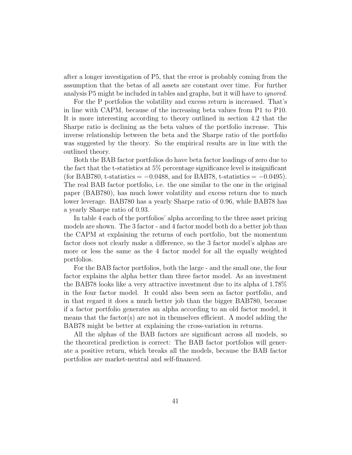after a longer investigation of P5, that the error is probably coming from the assumption that the betas of all assets are constant over time. For further analysis P5 might be included in tables and graphs, but it will have to *ignored*.

For the P portfolios the volatility and excess return is increased. That's in line with CAPM, because of the increasing beta values from P1 to P10. It is more interesting according to theory outlined in section 4.2 that the Sharpe ratio is declining as the beta values of the portfolio increase. This inverse relationship between the beta and the Sharpe ratio of the portfolio was suggested by the theory. So the empirical results are in line with the outlined theory.

Both the BAB factor portfolios do have beta factor loadings of zero due to the fact that the t-statistics at 5% percentage significance level is insignificant (for BAB780, t-statistics =  $-0.0488$ , and for BAB78, t-statistics =  $-0.0495$ ). The real BAB factor portfolio, i.e. the one similar to the one in the original paper (BAB780), has much lower volatility and excess return due to much lower leverage. BAB780 has a yearly Sharpe ratio of 0.96, while BAB78 has a yearly Sharpe ratio of 0.93.

In table 4 each of the portfolios' alpha according to the three asset pricing models are shown. The 3 factor - and 4 factor model both do a better job than the CAPM at explaining the returns of each portfolio, but the momentum factor does not clearly make a difference, so the 3 factor model's alphas are more or less the same as the 4 factor model for all the equally weighted portfolios.

For the BAB factor portfolios, both the large - and the small one, the four factor explains the alpha better than three factor model. As an investment the BAB78 looks like a very attractive investment due to its alpha of 1.78% in the four factor model. It could also been seen as factor portfolio, and in that regard it does a much better job than the bigger BAB780, because if a factor portfolio generates an alpha according to an old factor model, it means that the factor(s) are not in themselves efficient. A model adding the BAB78 might be better at explaining the cross-variation in returns.

All the alphas of the BAB factors are significant across all models, so the theoretical prediction is correct: The BAB factor portfolios will generate a positive return, which breaks all the models, because the BAB factor portfolios are market-neutral and self-financed.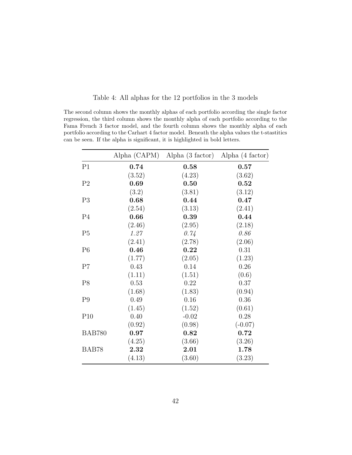|  |  |  |  |  |  | Table 4: All alphas for the 12 portfolios in the 3 models |  |  |  |  |
|--|--|--|--|--|--|-----------------------------------------------------------|--|--|--|--|
|--|--|--|--|--|--|-----------------------------------------------------------|--|--|--|--|

The second column shows the monthly alphas of each portfolio according the single factor regression, the third column shows the monthly alpha of each portfolio according to the Fama French 3 factor model, and the fourth column shows the monthly alpha of each portfolio according to the Carhart 4 factor model. Beneath the alpha values the t-stastitics can be seen. If the alpha is significant, it is highlighted in bold letters.

|                | Alpha (CAPM) | Alpha $(3 \text{ factor})$ | Alpha (4 factor) |
|----------------|--------------|----------------------------|------------------|
| P <sub>1</sub> | 0.74         | 0.58                       | 0.57             |
|                | (3.52)       | (4.23)                     | (3.62)           |
| P <sub>2</sub> | 0.69         | 0.50                       | 0.52             |
|                | (3.2)        | (3.81)                     | (3.12)           |
| P <sub>3</sub> | 0.68         | 0.44                       | 0.47             |
|                | (2.54)       | (3.13)                     | (2.41)           |
| P <sub>4</sub> | 0.66         | 0.39                       | 0.44             |
|                | (2.46)       | (2.95)                     | (2.18)           |
| P <sub>5</sub> | 1.27         | 0.74                       | 0.86             |
|                | (2.41)       | (2.78)                     | (2.06)           |
| P <sub>6</sub> | 0.46         | 0.22                       | 0.31             |
|                | (1.77)       | (2.05)                     | (1.23)           |
| P7             | 0.43         | 0.14                       | 0.26             |
|                | (1.11)       | (1.51)                     | (0.6)            |
| P <sub>8</sub> | 0.53         | 0.22                       | 0.37             |
|                | (1.68)       | (1.83)                     | (0.94)           |
| P <sub>9</sub> | 0.49         | 0.16                       | 0.36             |
|                | (1.45)       | (1.52)                     | (0.61)           |
| P10            | 0.40         | $-0.02$                    | 0.28             |
|                | (0.92)       | (0.98)                     | $(-0.07)$        |
| <b>BAB780</b>  | 0.97         | 0.82                       | 0.72             |
|                | (4.25)       | (3.66)                     | (3.26)           |
| BAB78          | 2.32         | 2.01                       | 1.78             |
|                | (4.13)       | (3.60)                     | (3.23)           |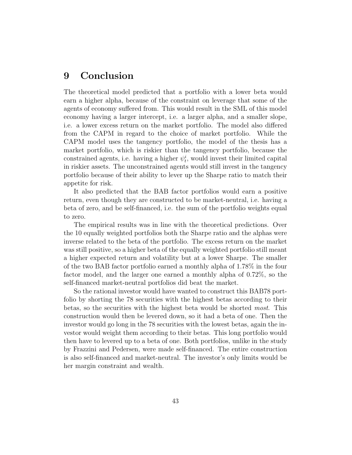# <span id="page-43-0"></span>9 Conclusion

The theoretical model predicted that a portfolio with a lower beta would earn a higher alpha, because of the constraint on leverage that some of the agents of economy suffered from. This would result in the SML of this model economy having a larger intercept, i.e. a larger alpha, and a smaller slope, i.e. a lower excess return on the market portfolio. The model also differed from the CAPM in regard to the choice of market portfolio. While the CAPM model uses the tangency portfolio, the model of the thesis has a market portfolio, which is riskier than the tangency portfolio, because the constrained agents, i.e. having a higher  $\psi_t^i$ , would invest their limited capital in riskier assets. The unconstrained agents would still invest in the tangency portfolio because of their ability to lever up the Sharpe ratio to match their appetite for risk.

It also predicted that the BAB factor portfolios would earn a positive return, even though they are constructed to be market-neutral, i.e. having a beta of zero, and be self-financed, i.e. the sum of the portfolio weights equal to zero.

The empirical results was in line with the theoretical predictions. Over the 10 equally weighted portfolios both the Sharpe ratio and the alphas were inverse related to the beta of the portfolio. The excess return on the market was still positive, so a higher beta of the equally weighted portfolio still meant a higher expected return and volatility but at a lower Sharpe. The smaller of the two BAB factor portfolio earned a monthly alpha of 1.78% in the four factor model, and the larger one earned a monthly alpha of 0.72%, so the self-financed market-neutral portfolios did beat the market.

So the rational investor would have wanted to construct this BAB78 portfolio by shorting the 78 securities with the highest betas according to their betas, so the securities with the highest beta would be shorted most. This construction would then be levered down, so it had a beta of one. Then the investor would go long in the 78 securities with the lowest betas, again the investor would weight them according to their betas. This long portfolio would then have to levered up to a beta of one. Both portfolios, unlike in the study by Frazzini and Pedersen, were made self-financed. The entire construction is also self-financed and market-neutral. The investor's only limits would be her margin constraint and wealth.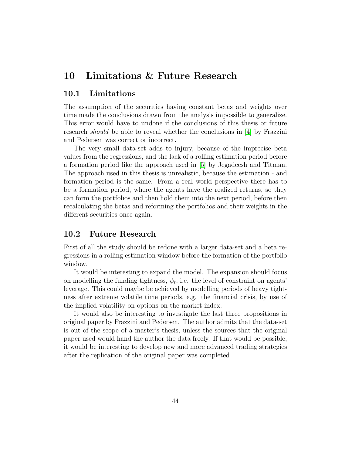# <span id="page-44-0"></span>10 Limitations & Future Research

### <span id="page-44-1"></span>10.1 Limitations

The assumption of the securities having constant betas and weights over time made the conclusions drawn from the analysis impossible to generalize. This error would have to undone if the conclusions of this thesis or future research should be able to reveal whether the conclusions in [\[4\]](#page-45-1) by Frazzini and Pedersen was correct or incorrect.

The very small data-set adds to injury, because of the imprecise beta values from the regressions, and the lack of a rolling estimation period before a formation period like the approach used in [\[5\]](#page-45-8) by Jegadeesh and Titman. The approach used in this thesis is unrealistic, because the estimation - and formation period is the same. From a real world perspective there has to be a formation period, where the agents have the realized returns, so they can form the portfolios and then hold them into the next period, before then recalculating the betas and reforming the portfolios and their weights in the different securities once again.

### <span id="page-44-2"></span>10.2 Future Research

First of all the study should be redone with a larger data-set and a beta regressions in a rolling estimation window before the formation of the portfolio window.

It would be interesting to expand the model. The expansion should focus on modelling the funding tightness,  $\psi_t$ , i.e. the level of constraint on agents' leverage. This could maybe be achieved by modelling periods of heavy tightness after extreme volatile time periods, e.g. the financial crisis, by use of the implied volatility on options on the market index.

It would also be interesting to investigate the last three propositions in original paper by Frazzini and Pedersen. The author admits that the data-set is out of the scope of a master's thesis, unless the sources that the original paper used would hand the author the data freely. If that would be possible, it would be interesting to develop new and more advanced trading strategies after the replication of the original paper was completed.